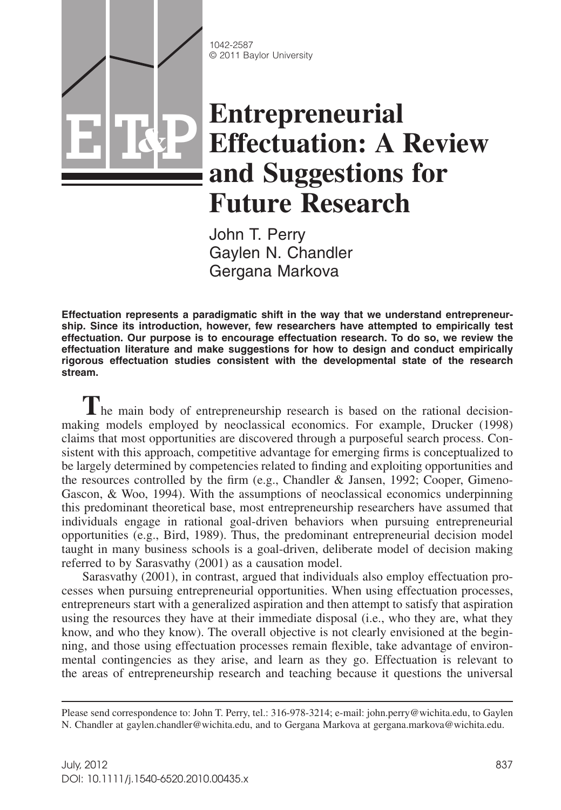1042-2587 © 2011 Baylor University

**E T&P**

# **Entrepreneurial Effectuation: A Review and Suggestions for Future Research**

John T. Perry Gaylen N. Chandler Gergana Markova

**Effectuation represents a paradigmatic shift in the way that we understand entrepreneurship. Since its introduction, however, few researchers have attempted to empirically test effectuation. Our purpose is to encourage effectuation research. To do so, we review the effectuation literature and make suggestions for how to design and conduct empirically rigorous effectuation studies consistent with the developmental state of the research stream.**

The main body of entrepreneurship research is based on the rational decisionmaking models employed by neoclassical economics. For example, Drucker (1998) claims that most opportunities are discovered through a purposeful search process. Consistent with this approach, competitive advantage for emerging firms is conceptualized to be largely determined by competencies related to finding and exploiting opportunities and the resources controlled by the firm  $(e.g.,$  Chandler  $\&$  Jansen, 1992; Cooper, Gimeno-Gascon, & Woo, 1994). With the assumptions of neoclassical economics underpinning this predominant theoretical base, most entrepreneurship researchers have assumed that individuals engage in rational goal-driven behaviors when pursuing entrepreneurial opportunities (e.g., Bird, 1989). Thus, the predominant entrepreneurial decision model taught in many business schools is a goal-driven, deliberate model of decision making referred to by Sarasvathy (2001) as a causation model.

Sarasvathy (2001), in contrast, argued that individuals also employ effectuation processes when pursuing entrepreneurial opportunities. When using effectuation processes, entrepreneurs start with a generalized aspiration and then attempt to satisfy that aspiration using the resources they have at their immediate disposal (i.e., who they are, what they know, and who they know). The overall objective is not clearly envisioned at the beginning, and those using effectuation processes remain flexible, take advantage of environmental contingencies as they arise, and learn as they go. Effectuation is relevant to the areas of entrepreneurship research and teaching because it questions the universal

Please send correspondence to: John T. Perry, tel.: 316-978-3214; e-mail: john.perry@wichita.edu, to Gaylen N. Chandler at gaylen.chandler@wichita.edu, and to Gergana Markova at gergana.markova@wichita.edu.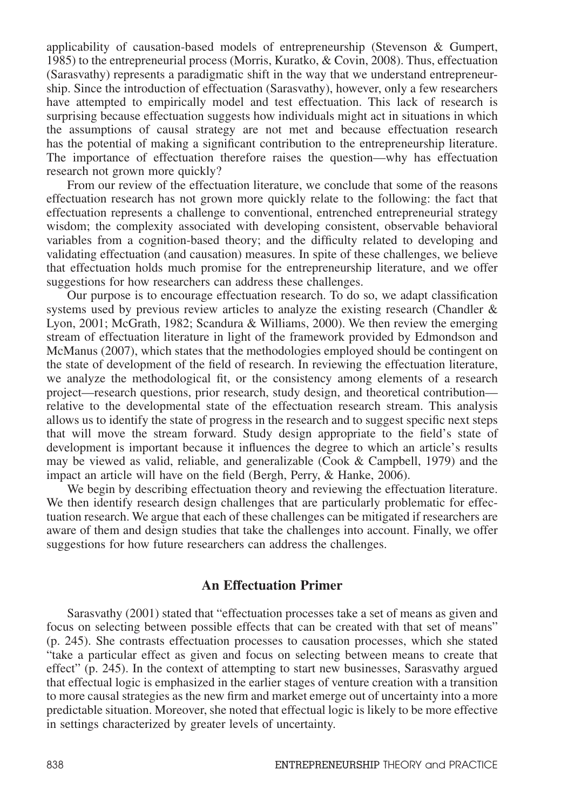applicability of causation-based models of entrepreneurship (Stevenson & Gumpert, 1985) to the entrepreneurial process (Morris, Kuratko, & Covin, 2008). Thus, effectuation (Sarasvathy) represents a paradigmatic shift in the way that we understand entrepreneurship. Since the introduction of effectuation (Sarasvathy), however, only a few researchers have attempted to empirically model and test effectuation. This lack of research is surprising because effectuation suggests how individuals might act in situations in which the assumptions of causal strategy are not met and because effectuation research has the potential of making a significant contribution to the entrepreneurship literature. The importance of effectuation therefore raises the question—why has effectuation research not grown more quickly?

From our review of the effectuation literature, we conclude that some of the reasons effectuation research has not grown more quickly relate to the following: the fact that effectuation represents a challenge to conventional, entrenched entrepreneurial strategy wisdom; the complexity associated with developing consistent, observable behavioral variables from a cognition-based theory; and the difficulty related to developing and validating effectuation (and causation) measures. In spite of these challenges, we believe that effectuation holds much promise for the entrepreneurship literature, and we offer suggestions for how researchers can address these challenges.

Our purpose is to encourage effectuation research. To do so, we adapt classification systems used by previous review articles to analyze the existing research (Chandler & Lyon, 2001; McGrath, 1982; Scandura & Williams, 2000). We then review the emerging stream of effectuation literature in light of the framework provided by Edmondson and McManus (2007), which states that the methodologies employed should be contingent on the state of development of the field of research. In reviewing the effectuation literature, we analyze the methodological fit, or the consistency among elements of a research project—research questions, prior research, study design, and theoretical contribution relative to the developmental state of the effectuation research stream. This analysis allows us to identify the state of progress in the research and to suggest specific next steps that will move the stream forward. Study design appropriate to the field's state of development is important because it influences the degree to which an article's results may be viewed as valid, reliable, and generalizable (Cook & Campbell, 1979) and the impact an article will have on the field (Bergh, Perry, & Hanke, 2006).

We begin by describing effectuation theory and reviewing the effectuation literature. We then identify research design challenges that are particularly problematic for effectuation research. We argue that each of these challenges can be mitigated if researchers are aware of them and design studies that take the challenges into account. Finally, we offer suggestions for how future researchers can address the challenges.

### **An Effectuation Primer**

Sarasvathy (2001) stated that "effectuation processes take a set of means as given and focus on selecting between possible effects that can be created with that set of means" (p. 245). She contrasts effectuation processes to causation processes, which she stated "take a particular effect as given and focus on selecting between means to create that effect" (p. 245). In the context of attempting to start new businesses, Sarasvathy argued that effectual logic is emphasized in the earlier stages of venture creation with a transition to more causal strategies as the new firm and market emerge out of uncertainty into a more predictable situation. Moreover, she noted that effectual logic is likely to be more effective in settings characterized by greater levels of uncertainty.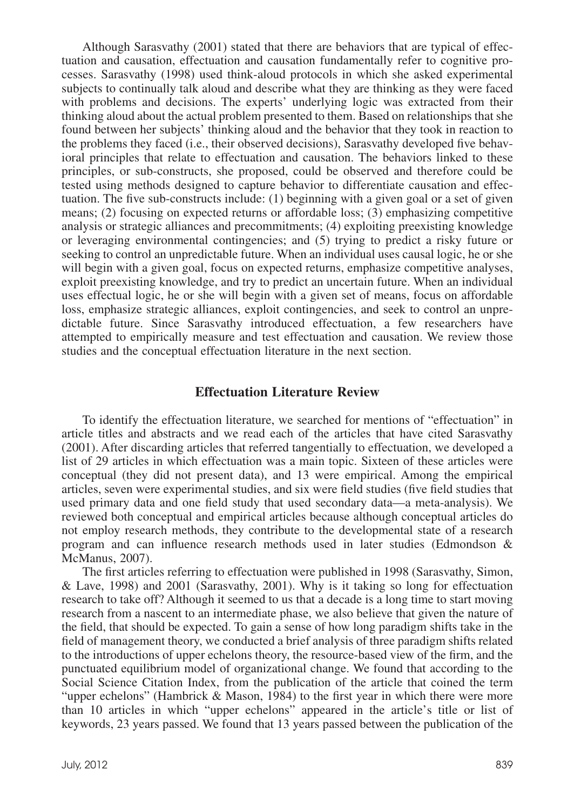Although Sarasvathy (2001) stated that there are behaviors that are typical of effectuation and causation, effectuation and causation fundamentally refer to cognitive processes. Sarasvathy (1998) used think-aloud protocols in which she asked experimental subjects to continually talk aloud and describe what they are thinking as they were faced with problems and decisions. The experts' underlying logic was extracted from their thinking aloud about the actual problem presented to them. Based on relationships that she found between her subjects' thinking aloud and the behavior that they took in reaction to the problems they faced (i.e., their observed decisions), Sarasvathy developed five behavioral principles that relate to effectuation and causation. The behaviors linked to these principles, or sub-constructs, she proposed, could be observed and therefore could be tested using methods designed to capture behavior to differentiate causation and effectuation. The five sub-constructs include: (1) beginning with a given goal or a set of given means; (2) focusing on expected returns or affordable loss; (3) emphasizing competitive analysis or strategic alliances and precommitments; (4) exploiting preexisting knowledge or leveraging environmental contingencies; and (5) trying to predict a risky future or seeking to control an unpredictable future. When an individual uses causal logic, he or she will begin with a given goal, focus on expected returns, emphasize competitive analyses, exploit preexisting knowledge, and try to predict an uncertain future. When an individual uses effectual logic, he or she will begin with a given set of means, focus on affordable loss, emphasize strategic alliances, exploit contingencies, and seek to control an unpredictable future. Since Sarasvathy introduced effectuation, a few researchers have attempted to empirically measure and test effectuation and causation. We review those studies and the conceptual effectuation literature in the next section.

### **Effectuation Literature Review**

To identify the effectuation literature, we searched for mentions of "effectuation" in article titles and abstracts and we read each of the articles that have cited Sarasvathy (2001). After discarding articles that referred tangentially to effectuation, we developed a list of 29 articles in which effectuation was a main topic. Sixteen of these articles were conceptual (they did not present data), and 13 were empirical. Among the empirical articles, seven were experimental studies, and six were field studies (five field studies that used primary data and one field study that used secondary data—a meta-analysis). We reviewed both conceptual and empirical articles because although conceptual articles do not employ research methods, they contribute to the developmental state of a research program and can influence research methods used in later studies (Edmondson & McManus, 2007).

The first articles referring to effectuation were published in 1998 (Sarasvathy, Simon, & Lave, 1998) and 2001 (Sarasvathy, 2001). Why is it taking so long for effectuation research to take off? Although it seemed to us that a decade is a long time to start moving research from a nascent to an intermediate phase, we also believe that given the nature of the field, that should be expected. To gain a sense of how long paradigm shifts take in the field of management theory, we conducted a brief analysis of three paradigm shifts related to the introductions of upper echelons theory, the resource-based view of the firm, and the punctuated equilibrium model of organizational change. We found that according to the Social Science Citation Index, from the publication of the article that coined the term "upper echelons" (Hambrick & Mason, 1984) to the first year in which there were more than 10 articles in which "upper echelons" appeared in the article's title or list of keywords, 23 years passed. We found that 13 years passed between the publication of the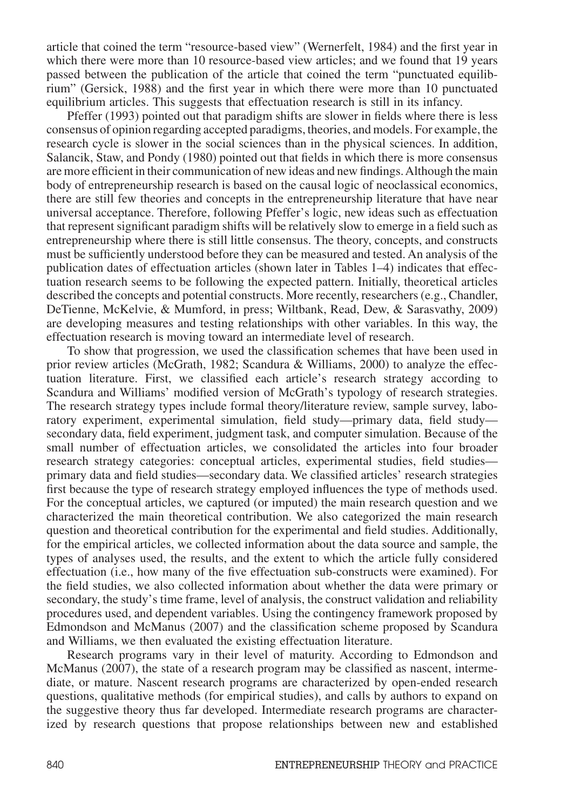article that coined the term "resource-based view" (Wernerfelt, 1984) and the first year in which there were more than 10 resource-based view articles; and we found that 19 years passed between the publication of the article that coined the term "punctuated equilibrium" (Gersick, 1988) and the first year in which there were more than 10 punctuated equilibrium articles. This suggests that effectuation research is still in its infancy.

Pfeffer (1993) pointed out that paradigm shifts are slower in fields where there is less consensus of opinion regarding accepted paradigms, theories, and models. For example, the research cycle is slower in the social sciences than in the physical sciences. In addition, Salancik, Staw, and Pondy (1980) pointed out that fields in which there is more consensus are more efficient in their communication of new ideas and new findings.Although the main body of entrepreneurship research is based on the causal logic of neoclassical economics, there are still few theories and concepts in the entrepreneurship literature that have near universal acceptance. Therefore, following Pfeffer's logic, new ideas such as effectuation that represent significant paradigm shifts will be relatively slow to emerge in a field such as entrepreneurship where there is still little consensus. The theory, concepts, and constructs must be sufficiently understood before they can be measured and tested. An analysis of the publication dates of effectuation articles (shown later in Tables 1–4) indicates that effectuation research seems to be following the expected pattern. Initially, theoretical articles described the concepts and potential constructs. More recently, researchers (e.g., Chandler, DeTienne, McKelvie, & Mumford, in press; Wiltbank, Read, Dew, & Sarasvathy, 2009) are developing measures and testing relationships with other variables. In this way, the effectuation research is moving toward an intermediate level of research.

To show that progression, we used the classification schemes that have been used in prior review articles (McGrath, 1982; Scandura & Williams, 2000) to analyze the effectuation literature. First, we classified each article's research strategy according to Scandura and Williams' modified version of McGrath's typology of research strategies. The research strategy types include formal theory/literature review, sample survey, laboratory experiment, experimental simulation, field study—primary data, field study secondary data, field experiment, judgment task, and computer simulation. Because of the small number of effectuation articles, we consolidated the articles into four broader research strategy categories: conceptual articles, experimental studies, field studies primary data and field studies—secondary data. We classified articles' research strategies first because the type of research strategy employed influences the type of methods used. For the conceptual articles, we captured (or imputed) the main research question and we characterized the main theoretical contribution. We also categorized the main research question and theoretical contribution for the experimental and field studies. Additionally, for the empirical articles, we collected information about the data source and sample, the types of analyses used, the results, and the extent to which the article fully considered effectuation (i.e., how many of the five effectuation sub-constructs were examined). For the field studies, we also collected information about whether the data were primary or secondary, the study's time frame, level of analysis, the construct validation and reliability procedures used, and dependent variables. Using the contingency framework proposed by Edmondson and McManus (2007) and the classification scheme proposed by Scandura and Williams, we then evaluated the existing effectuation literature.

Research programs vary in their level of maturity. According to Edmondson and McManus (2007), the state of a research program may be classified as nascent, intermediate, or mature. Nascent research programs are characterized by open-ended research questions, qualitative methods (for empirical studies), and calls by authors to expand on the suggestive theory thus far developed. Intermediate research programs are characterized by research questions that propose relationships between new and established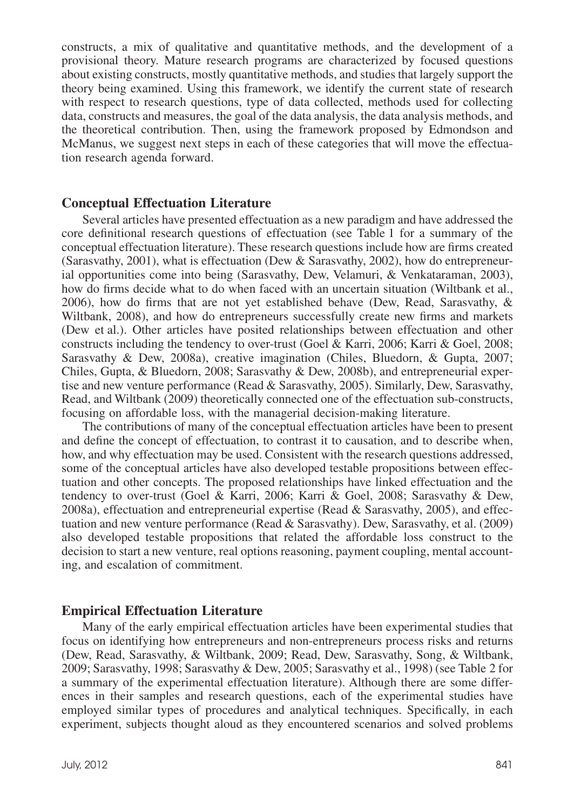constructs, a mix of qualitative and quantitative methods, and the development of a provisional theory. Mature research programs are characterized by focused questions about existing constructs, mostly quantitative methods, and studies that largely support the theory being examined. Using this framework, we identify the current state of research with respect to research questions, type of data collected, methods used for collecting data, constructs and measures, the goal of the data analysis, the data analysis methods, and the theoretical contribution. Then, using the framework proposed by Edmondson and McManus, we suggest next steps in each of these categories that will move the effectuation research agenda forward.

### **Conceptual Effectuation Literature**

Several articles have presented effectuation as a new paradigm and have addressed the core definitional research questions of effectuation (see Table 1 for a summary of the conceptual effectuation literature). These research questions include how are firms created (Sarasvathy, 2001), what is effectuation (Dew & Sarasvathy, 2002), how do entrepreneurial opportunities come into being (Sarasvathy, Dew, Velamuri, & Venkataraman, 2003), how do firms decide what to do when faced with an uncertain situation (Wiltbank et al., 2006), how do firms that are not yet established behave (Dew, Read, Sarasvathy,  $\&$ Wiltbank, 2008), and how do entrepreneurs successfully create new firms and markets (Dew et al.). Other articles have posited relationships between effectuation and other constructs including the tendency to over-trust (Goel & Karri, 2006; Karri & Goel, 2008; Sarasvathy & Dew, 2008a), creative imagination (Chiles, Bluedorn, & Gupta, 2007; Chiles, Gupta, & Bluedorn, 2008; Sarasvathy & Dew, 2008b), and entrepreneurial expertise and new venture performance (Read & Sarasvathy, 2005). Similarly, Dew, Sarasvathy, Read, and Wiltbank (2009) theoretically connected one of the effectuation sub-constructs, focusing on affordable loss, with the managerial decision-making literature.

The contributions of many of the conceptual effectuation articles have been to present and define the concept of effectuation, to contrast it to causation, and to describe when, how, and why effectuation may be used. Consistent with the research questions addressed, some of the conceptual articles have also developed testable propositions between effectuation and other concepts. The proposed relationships have linked effectuation and the tendency to over-trust (Goel & Karri, 2006; Karri & Goel, 2008; Sarasvathy & Dew, 2008a), effectuation and entrepreneurial expertise (Read & Sarasvathy, 2005), and effectuation and new venture performance (Read & Sarasvathy). Dew, Sarasvathy, et al. (2009) also developed testable propositions that related the affordable loss construct to the decision to start a new venture, real options reasoning, payment coupling, mental accounting, and escalation of commitment.

#### **Empirical Effectuation Literature**

Many of the early empirical effectuation articles have been experimental studies that focus on identifying how entrepreneurs and non-entrepreneurs process risks and returns (Dew, Read, Sarasvathy, & Wiltbank, 2009; Read, Dew, Sarasvathy, Song, & Wiltbank, 2009; Sarasvathy, 1998; Sarasvathy & Dew, 2005; Sarasvathy et al., 1998) (see Table 2 for a summary of the experimental effectuation literature). Although there are some differences in their samples and research questions, each of the experimental studies have employed similar types of procedures and analytical techniques. Specifically, in each experiment, subjects thought aloud as they encountered scenarios and solved problems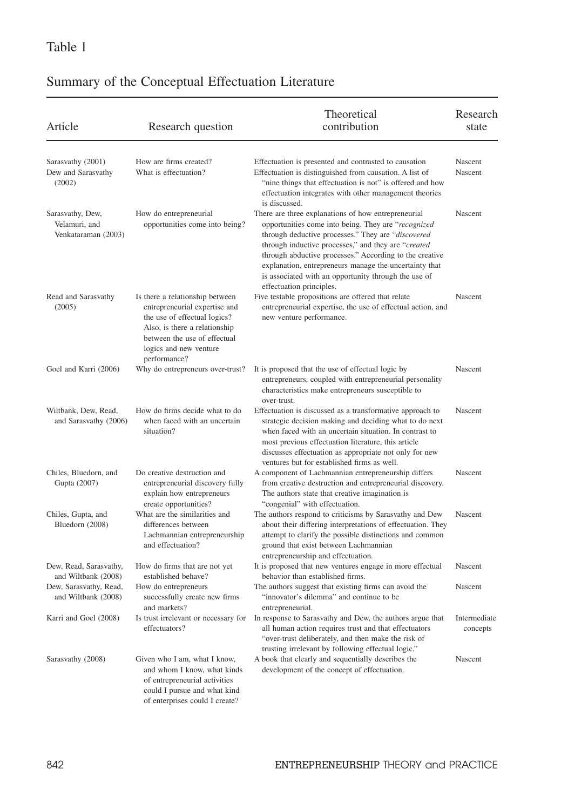# Table 1

| Article                                                  | Research question                                                                                                                                                                                           | Theoretical<br>contribution                                                                                                                                                                                                                                                                                                                                                                                                      | Research<br>state        |
|----------------------------------------------------------|-------------------------------------------------------------------------------------------------------------------------------------------------------------------------------------------------------------|----------------------------------------------------------------------------------------------------------------------------------------------------------------------------------------------------------------------------------------------------------------------------------------------------------------------------------------------------------------------------------------------------------------------------------|--------------------------|
| Sarasvathy (2001)<br>Dew and Sarasvathy<br>(2002)        | How are firms created?<br>What is effectuation?                                                                                                                                                             | Effectuation is presented and contrasted to causation<br>Effectuation is distinguished from causation. A list of<br>"nine things that effectuation is not" is offered and how<br>effectuation integrates with other management theories<br>is discussed.                                                                                                                                                                         | Nascent<br>Nascent       |
| Sarasvathy, Dew,<br>Velamuri, and<br>Venkataraman (2003) | How do entrepreneurial<br>opportunities come into being?                                                                                                                                                    | There are three explanations of how entrepreneurial<br>opportunities come into being. They are "recognized<br>through deductive processes." They are "discovered<br>through inductive processes," and they are "created<br>through abductive processes." According to the creative<br>explanation, entrepreneurs manage the uncertainty that<br>is associated with an opportunity through the use of<br>effectuation principles. | Nascent                  |
| Read and Sarasvathy<br>(2005)                            | Is there a relationship between<br>entrepreneurial expertise and<br>the use of effectual logics?<br>Also, is there a relationship<br>between the use of effectual<br>logics and new venture<br>performance? | Five testable propositions are offered that relate<br>entrepreneurial expertise, the use of effectual action, and<br>new venture performance.                                                                                                                                                                                                                                                                                    | Nascent                  |
| Goel and Karri (2006)                                    | Why do entrepreneurs over-trust?                                                                                                                                                                            | It is proposed that the use of effectual logic by<br>entrepreneurs, coupled with entrepreneurial personality<br>characteristics make entrepreneurs susceptible to<br>over-trust.                                                                                                                                                                                                                                                 | <b>Nascent</b>           |
| Wiltbank, Dew, Read,<br>and Sarasvathy (2006)            | How do firms decide what to do<br>when faced with an uncertain<br>situation?                                                                                                                                | Effectuation is discussed as a transformative approach to<br>strategic decision making and deciding what to do next<br>when faced with an uncertain situation. In contrast to<br>most previous effectuation literature, this article<br>discusses effectuation as appropriate not only for new<br>ventures but for established firms as well.                                                                                    | Nascent                  |
| Chiles, Bluedorn, and<br>Gupta (2007)                    | Do creative destruction and<br>entrepreneurial discovery fully<br>explain how entrepreneurs<br>create opportunities?                                                                                        | A component of Lachmannian entrepreneurship differs<br>from creative destruction and entrepreneurial discovery.<br>The authors state that creative imagination is<br>"congenial" with effectuation.                                                                                                                                                                                                                              | Nascent                  |
| Chiles, Gupta, and<br>Bluedorn (2008)                    | What are the similarities and<br>differences between<br>Lachmannian entrepreneurship<br>and effectuation?                                                                                                   | The authors respond to criticisms by Sarasvathy and Dew<br>about their differing interpretations of effectuation. They<br>attempt to clarify the possible distinctions and common<br>ground that exist between Lachmannian<br>entrepreneurship and effectuation.                                                                                                                                                                 | Nascent                  |
| Dew, Read, Sarasvathy,<br>and Wiltbank (2008)            | How do firms that are not yet<br>established behave?                                                                                                                                                        | It is proposed that new ventures engage in more effectual<br>behavior than established firms.                                                                                                                                                                                                                                                                                                                                    | Nascent                  |
| Dew, Sarasvathy, Read,<br>and Wiltbank (2008)            | How do entrepreneurs<br>successfully create new firms<br>and markets?                                                                                                                                       | The authors suggest that existing firms can avoid the<br>"innovator's dilemma" and continue to be<br>entrepreneurial.                                                                                                                                                                                                                                                                                                            | Nascent                  |
| Karri and Goel (2008)                                    | Is trust irrelevant or necessary for<br>effectuators?                                                                                                                                                       | In response to Sarasvathy and Dew, the authors argue that<br>all human action requires trust and that effectuators<br>"over-trust deliberately, and then make the risk of<br>trusting irrelevant by following effectual logic."                                                                                                                                                                                                  | Intermediate<br>concepts |
| Sarasvathy (2008)                                        | Given who I am, what I know,<br>and whom I know, what kinds<br>of entrepreneurial activities<br>could I pursue and what kind                                                                                | A book that clearly and sequentially describes the<br>development of the concept of effectuation.                                                                                                                                                                                                                                                                                                                                | Nascent                  |

# Summary of the Conceptual Effectuation Literature

of enterprises could I create?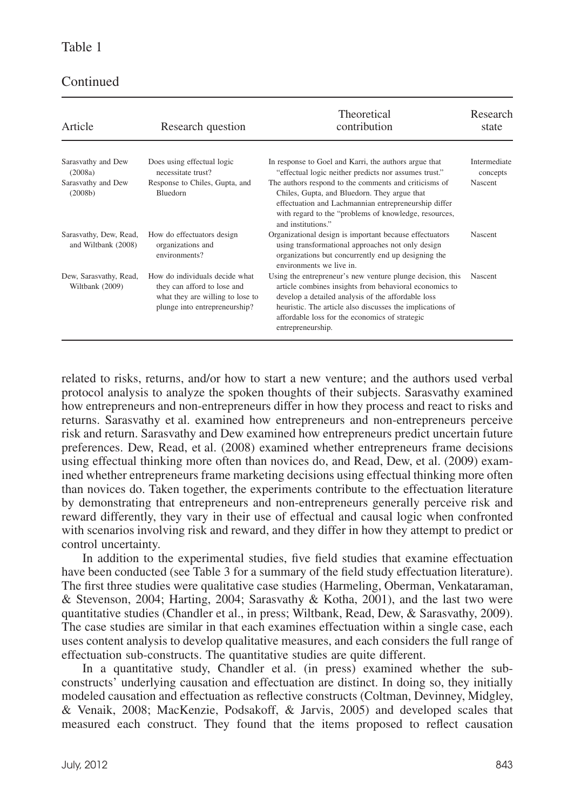|--|

| Article                                       | Research question                                                                                                                  | Theoretical<br>contribution                                                                                                                                                                                                                                                                                    | Research<br>state        |
|-----------------------------------------------|------------------------------------------------------------------------------------------------------------------------------------|----------------------------------------------------------------------------------------------------------------------------------------------------------------------------------------------------------------------------------------------------------------------------------------------------------------|--------------------------|
| Sarasvathy and Dew<br>(2008a)                 | Does using effectual logic<br>necessitate trust?                                                                                   | In response to Goel and Karri, the authors argue that<br>"effectual logic neither predicts nor assumes trust."                                                                                                                                                                                                 | Intermediate<br>concepts |
| Sarasvathy and Dew<br>(2008b)                 | Response to Chiles, Gupta, and<br><b>Bluedorn</b>                                                                                  | The authors respond to the comments and criticisms of<br>Chiles, Gupta, and Bluedorn. They argue that<br>effectuation and Lachmannian entrepreneurship differ<br>with regard to the "problems of knowledge, resources,<br>and institutions"                                                                    | Nascent                  |
| Sarasvathy, Dew, Read,<br>and Wiltbank (2008) | How do effectuators design<br>organizations and<br>environments?                                                                   | Organizational design is important because effectuators<br>using transformational approaches not only design<br>organizations but concurrently end up designing the<br>environments we live in.                                                                                                                | Nascent                  |
| Dew, Sarasvathy, Read,<br>Wiltbank (2009)     | How do individuals decide what<br>they can afford to lose and<br>what they are willing to lose to<br>plunge into entrepreneurship? | Using the entrepreneur's new venture plunge decision, this<br>article combines insights from behavioral economics to<br>develop a detailed analysis of the affordable loss<br>heuristic. The article also discusses the implications of<br>affordable loss for the economics of strategic<br>entrepreneurship. | Nascent                  |

# **Continued**

related to risks, returns, and/or how to start a new venture; and the authors used verbal protocol analysis to analyze the spoken thoughts of their subjects. Sarasvathy examined how entrepreneurs and non-entrepreneurs differ in how they process and react to risks and returns. Sarasvathy et al. examined how entrepreneurs and non-entrepreneurs perceive risk and return. Sarasvathy and Dew examined how entrepreneurs predict uncertain future preferences. Dew, Read, et al. (2008) examined whether entrepreneurs frame decisions using effectual thinking more often than novices do, and Read, Dew, et al. (2009) examined whether entrepreneurs frame marketing decisions using effectual thinking more often than novices do. Taken together, the experiments contribute to the effectuation literature by demonstrating that entrepreneurs and non-entrepreneurs generally perceive risk and reward differently, they vary in their use of effectual and causal logic when confronted with scenarios involving risk and reward, and they differ in how they attempt to predict or control uncertainty.

In addition to the experimental studies, five field studies that examine effectuation have been conducted (see Table 3 for a summary of the field study effectuation literature). The first three studies were qualitative case studies (Harmeling, Oberman, Venkataraman, & Stevenson, 2004; Harting, 2004; Sarasvathy & Kotha, 2001), and the last two were quantitative studies (Chandler et al., in press; Wiltbank, Read, Dew, & Sarasvathy, 2009). The case studies are similar in that each examines effectuation within a single case, each uses content analysis to develop qualitative measures, and each considers the full range of effectuation sub-constructs. The quantitative studies are quite different.

In a quantitative study, Chandler et al. (in press) examined whether the subconstructs' underlying causation and effectuation are distinct. In doing so, they initially modeled causation and effectuation as reflective constructs (Coltman, Devinney, Midgley, & Venaik, 2008; MacKenzie, Podsakoff, & Jarvis, 2005) and developed scales that measured each construct. They found that the items proposed to reflect causation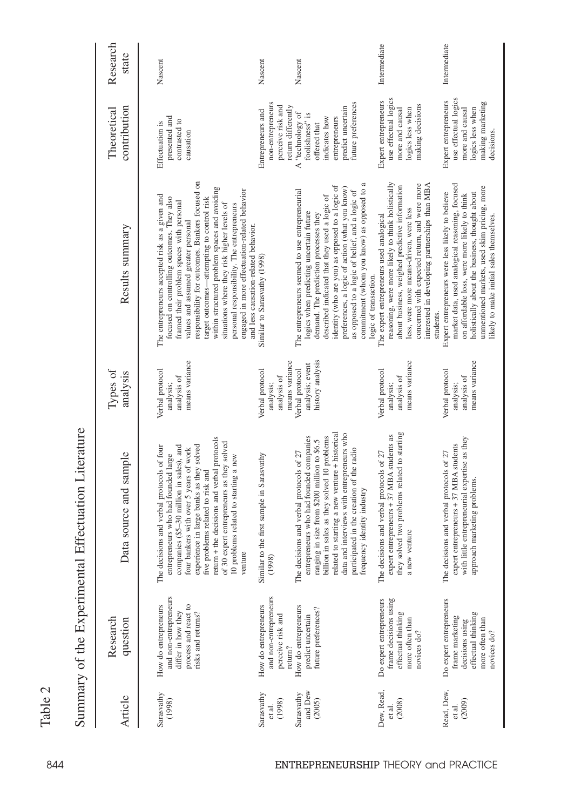| 1 |
|---|
| v |
|   |

| Article                         | Research<br>question                                                                                                  | ata source and sample                                                                                                                                                                                                                                                                                                                                                                                       | Types of<br>analysis                                                     | Results summary                                                                                                                                                                                                                                                                                                                                                                                                                                                                                                          | contribution<br>Theoretical                                                                                                                               | Research<br>state |
|---------------------------------|-----------------------------------------------------------------------------------------------------------------------|-------------------------------------------------------------------------------------------------------------------------------------------------------------------------------------------------------------------------------------------------------------------------------------------------------------------------------------------------------------------------------------------------------------|--------------------------------------------------------------------------|--------------------------------------------------------------------------------------------------------------------------------------------------------------------------------------------------------------------------------------------------------------------------------------------------------------------------------------------------------------------------------------------------------------------------------------------------------------------------------------------------------------------------|-----------------------------------------------------------------------------------------------------------------------------------------------------------|-------------------|
| Sarasvathy<br>(1998)            | and non-entrepreneurs<br>How do entrepreneurs<br>process and react to<br>differ in how they<br>risks and returns?     | + the decisions and verbal protocols<br>of 30 expert entrepreneurs as they solved<br>experience in large banks as they solved<br>The decisions and verbal protocols of four<br>companies (\$5-30 million in sales), and<br>four bankers with over 5 years of work<br>entrepreneurs who had founded large<br>10 problems related to starting a new<br>five problems related to risk and<br>venture<br>return | means variance<br>Verbal protocol<br>analysis of<br>analysis;            | responsibility for outcomes. Bankers focused on<br>within structured problem spaces and avoiding<br>engaged in more effectuation-related behavior<br>The entrepreneurs accepted risk as a given and<br>focused on controlling outcomes. They also<br>target outcomes-attempting to control risk<br>framed their problem spaces with personal<br>personal responsibility. The entrepreneurs<br>situations where they risk higher levels of<br>values and assumed greater personal<br>and less causation-related behavior. | presented and<br>contrasted to<br>Effectuation is<br>causation                                                                                            | Nascent           |
| Sarasvathy<br>(1998)<br>et al.  | and non-entrepreneurs<br>How do entrepreneurs<br>perceive risk and<br>return?                                         | Similar to the first sample in Sarasvathy<br>(1998)                                                                                                                                                                                                                                                                                                                                                         | Verbal protocol<br>analysis of<br>analysis;                              | Similar to Sarasvathy (1998)                                                                                                                                                                                                                                                                                                                                                                                                                                                                                             | non-entrepreneurs<br>perceive risk and<br>Entrepreneurs and                                                                                               | Nascent           |
| and Dew<br>Sarasvathy<br>(2005) | How do entrepreneurs<br>future preferences?<br>predict uncertain                                                      | related to starting a new venture + historical<br>data and interviews with entrepreneurs who<br>entrepreneurs who had founded companies<br>billion in sales as they solved 10 problems<br>ranging in size from \$200 million to \$6.5<br>participated in the creation of the radio<br>The decisions and verbal protocols of 27<br>frequency identity industry                                               | history analysis<br>means variance<br>analysis; event<br>Verbal protocol | commitment (whom you know) as opposed to a<br>identity (who are you) as opposed to a logic of<br>preferences, a logic of action (what you know)<br>The entrepreneurs seemed to use entrepreneurial<br>as opposed to a logic of belief, and a logic of<br>described indicated that they used a logic of<br>logics when predicting uncertain future<br>demand. The prediction processes they                                                                                                                               | future preferences<br>return differently<br>predict uncertain<br>"technology of<br>foolishness" is<br>indicates how<br>entrepreneurs<br>offered that<br>∢ | Nascent           |
| Dew, Read,<br>(2008)<br>et al.  | frame decisions using<br>Do expert entrepreneurs<br>effectual thinking<br>more often than<br>novices do?              | they solved two problems related to starting<br>expert entrepreneurs $+37$ MBA students as<br>The decisions and verbal protocols of 27<br>venture<br>a new                                                                                                                                                                                                                                                  | means variance<br>Verbal protocol<br>analysis of<br>analysis;            | reasoning, were more likely to think holistically<br>interested in developing partnerships than MBA<br>concerned with expected return, and were more<br>about business, weighed predictive information<br>less, were more means-driven, were less<br>The expert entrepreneurs used analogical<br>logic of transaction.                                                                                                                                                                                                   | use effectual logics<br>Expert entrepreneurs<br>making decisions<br>logics less when<br>more and causal                                                   | Intermediate      |
| Read, Dew,<br>(2009)<br>et al.  | Do expert entrepreneurs<br>effectual thinking<br>frame marketing<br>more often than<br>decisions using<br>novices do? | with little entrepreneurial expertise as they<br>expert entrepreneurs +37 MBA students<br>The decisions and verbal protocols of 27<br>approach marketing problems.                                                                                                                                                                                                                                          | means variance<br>Verbal protocol<br>analysis of<br>analysis;            | market data, used analogical reasoning, focused<br>unmentioned markets, used skim pricing, more<br>Expert entrepreneurs were less likely to believe<br>holistically about the business, thought about<br>on affordable loss, were more likely to think<br>likely to make initial sales themselves.<br>students.                                                                                                                                                                                                          | use effectual logics<br>Expert entrepreneurs<br>making marketing<br>logics less when<br>more and causal<br>decisions.                                     | Intermediate      |

# Summary of the Experimental Effectuation Literature Summary of the Experimental Effectuation Literature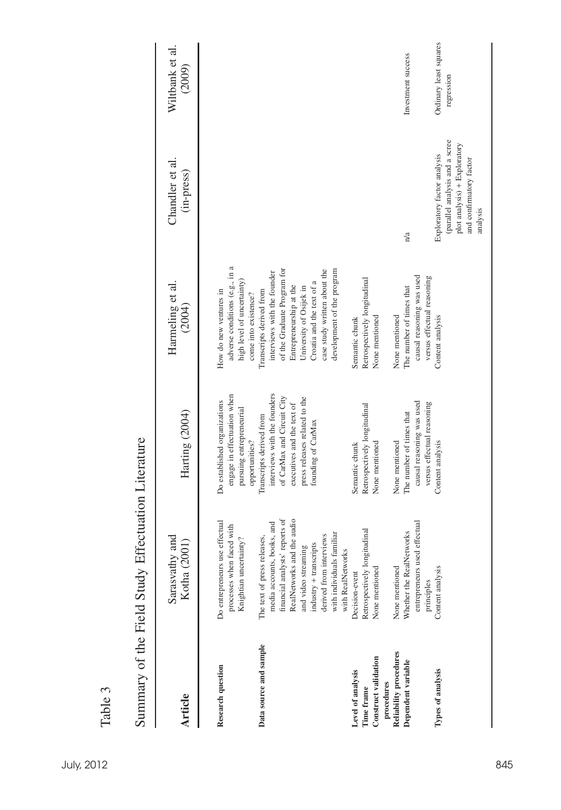|                                                                       | All the morning of the strategy of the strategy of the strategy of the strategy of the strategy of the strategy of the strategy of the strategy of the strategy of the strategy of the strategy of the strategy of the strateg                          |                                                                                                                                                                             |                                                                                                                                                                                                                                         |                                                                                                                                      |                                      |
|-----------------------------------------------------------------------|---------------------------------------------------------------------------------------------------------------------------------------------------------------------------------------------------------------------------------------------------------|-----------------------------------------------------------------------------------------------------------------------------------------------------------------------------|-----------------------------------------------------------------------------------------------------------------------------------------------------------------------------------------------------------------------------------------|--------------------------------------------------------------------------------------------------------------------------------------|--------------------------------------|
| Article                                                               | Sarasvathy and<br>Kotha (2001)                                                                                                                                                                                                                          | Harting (2004)                                                                                                                                                              | Harmeling et al.<br>(2004)                                                                                                                                                                                                              | Chandler et al.<br>(in-press)                                                                                                        | Wiltbank et al.<br>(2009)            |
| Research question                                                     | Do entrepreneurs use effectual<br>faced with<br>Knightian uncertainty?<br>processes when                                                                                                                                                                | engage in effectuation when<br>Do established organizations<br>pursuing entrepreneurial<br>opportunities?                                                                   | adverse conditions (e.g., in a<br>high level of uncertainty<br>How do new ventures in<br>come into existence?                                                                                                                           |                                                                                                                                      |                                      |
| Data source and sample                                                | financial analysts' reports of<br>RealNetworks and the audio<br>media accounts, books, and<br>with individuals familiar<br>The text of press releases,<br>derived from interviews<br>industry + transcripts<br>and video streaming<br>with RealNetworks | interviews with the founders<br>press releases related to the<br>of CarMax and Circuit City<br>executives and the text of<br>Transcripts derived from<br>founding of CarMax | of the Graduate Program for<br>development of the program<br>case study written about the<br>interviews with the founder<br>Croatia and the text of a<br>Entrepreneurship at the<br>University of Osijek in<br>Transcripts derived from |                                                                                                                                      |                                      |
| Construct validation<br>Level of analysis<br>procedures<br>Time frame | Retrospectively longitudinal<br>None mentioned<br>Decision-event                                                                                                                                                                                        | Retrospectively longitudinal<br>None mentioned<br>Semantic chunk                                                                                                            | Retrospectively longitudinal<br>None mentioned<br>Semantic chunk                                                                                                                                                                        |                                                                                                                                      |                                      |
| Reliability procedures<br>Dependent variable                          | entrepreneurs used effectual<br>Whether the RealNetworks<br>None mentioned<br>principles                                                                                                                                                                | causal reasoning was used<br>versus effectual reasoning<br>The number of times that<br>None mentioned                                                                       | causal reasoning was used<br>versus effectual reasoning<br>The number of times that<br>None mentioned                                                                                                                                   | n/a                                                                                                                                  | Investment success                   |
| Types of analysis                                                     | Content analysis                                                                                                                                                                                                                                        | Content analysis                                                                                                                                                            | Content analysis                                                                                                                                                                                                                        | (parallel analysis and a scree<br>plot analysis) + Exploratory<br>Exploratory factor analysis<br>and confirmatory factor<br>analysis | Ordinary least squares<br>regression |

Summary of the Field Study Effectuation Literature Summary of the Field Study Effectuation Literature

Table 3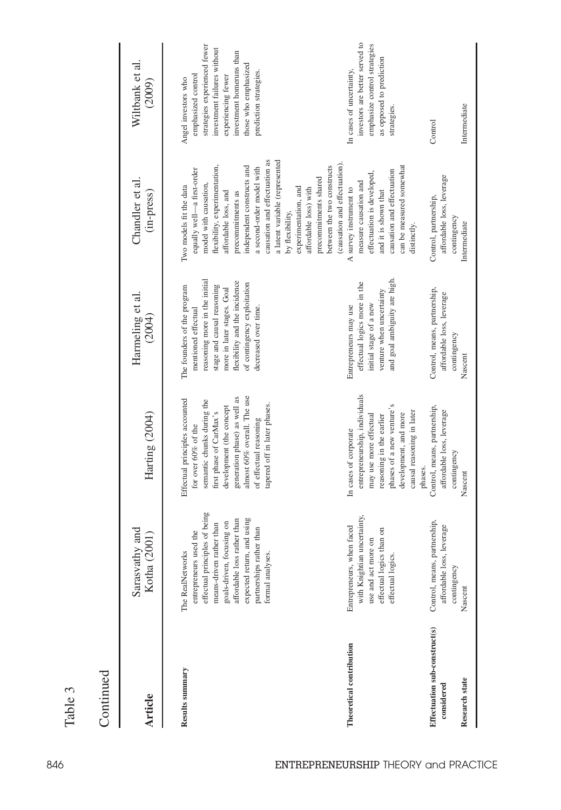| Continued                                                     |                                                                                                                                                                                                                                                   |                                                                                                                                                                                                                                                                        |                                                                                                                                                                                                                                         |                                                                                                                                                                                                                                                                                                                            |                                                                                                                                                                                                              |
|---------------------------------------------------------------|---------------------------------------------------------------------------------------------------------------------------------------------------------------------------------------------------------------------------------------------------|------------------------------------------------------------------------------------------------------------------------------------------------------------------------------------------------------------------------------------------------------------------------|-----------------------------------------------------------------------------------------------------------------------------------------------------------------------------------------------------------------------------------------|----------------------------------------------------------------------------------------------------------------------------------------------------------------------------------------------------------------------------------------------------------------------------------------------------------------------------|--------------------------------------------------------------------------------------------------------------------------------------------------------------------------------------------------------------|
| Article                                                       | and<br>Kotha (2001)<br>Sarasvathy                                                                                                                                                                                                                 | Harting (2004)                                                                                                                                                                                                                                                         | Harmeling et al.<br>(2004)                                                                                                                                                                                                              | Chandler et al.<br>(in-press)                                                                                                                                                                                                                                                                                              | Wiltbank et al.<br>(2009)                                                                                                                                                                                    |
| Results summary                                               | effectual principles of being<br>expected return, and using<br>affordable loss rather than<br>goals-driven, focusing on<br>means-driven rather than<br>partnerships rather than<br>entrepreneurs used the<br>The RealNetworks<br>formal analyses. | almost 60% overall. The use<br>generation phase) as well as<br>Effectual principles accounted<br>semantic chunks during the<br>tapered off in later phases.<br>development (the concept<br>first phase of CarMax's<br>of effectual reasoning<br>for over $60\%$ of the | reasoning more in the initial<br>flexibility and the incidence<br>of contingency exploitation<br>stage and causal reasoning<br>The founders of the program<br>more in later stages. Goal<br>decreased over time.<br>mentioned effectual | causation and effectuation as<br>a latent variable (represented<br>flexibility, experimentation,<br>independent constructs and<br>a second-order model with<br>equally well-a first-order<br>model with causation,<br>Two models fit the data<br>affordable loss, and<br>precommitments as                                 | strategies experienced fewer<br>investment failures without<br>investment homeruns than<br>those who emphasized<br>prediction strategies.<br>emphasized control<br>experiencing fewer<br>Angel investors who |
| Theoretical contribution                                      | with Knightian uncertainty,<br>Entrepreneurs, when faced<br>effectual logics than on<br>use and act more on<br>effectual logics.                                                                                                                  | entrepreneurship, individuals<br>phases of a new venture's<br>development, and more<br>may use more effectual<br>reasoning in the earlier<br>In cases of corporate                                                                                                     | and goal ambiguity are high.<br>effectual logics more in the<br>venture when uncertainty<br>initial stage of a new<br>Entrepreneurs may use                                                                                             | (causation and effectuation)<br>between the two constructs<br>can be measured somewhat<br>causation and effectuation<br>effectuation is developed,<br>precommitments shared<br>measure causation and<br>experimentation, and<br>A survey instrument to<br>affordable loss) with<br>and it is shown that<br>by flexibility, | investors are better served to<br>emphasize control strategies<br>as opposed to prediction<br>In cases of uncertainty,<br>strategies.                                                                        |
| Effectuation sub-construct(s)<br>Research state<br>considered | Control, means, partnership,<br>affordable loss, leverage<br>contingency<br>Nascent                                                                                                                                                               | Control, means, partnership,<br>affordable loss, leverage<br>causal reasoning in later<br>contingency<br>phases.<br>Nascent                                                                                                                                            | Control, means, partnership,<br>affordable loss, leverage<br>contingency<br>Nascent                                                                                                                                                     | affordable loss, leverage<br>Control, partnership,<br>contingency<br>Intermediate<br>distinctly.                                                                                                                                                                                                                           | Intermediate<br>Control                                                                                                                                                                                      |

Table 3<br>Continued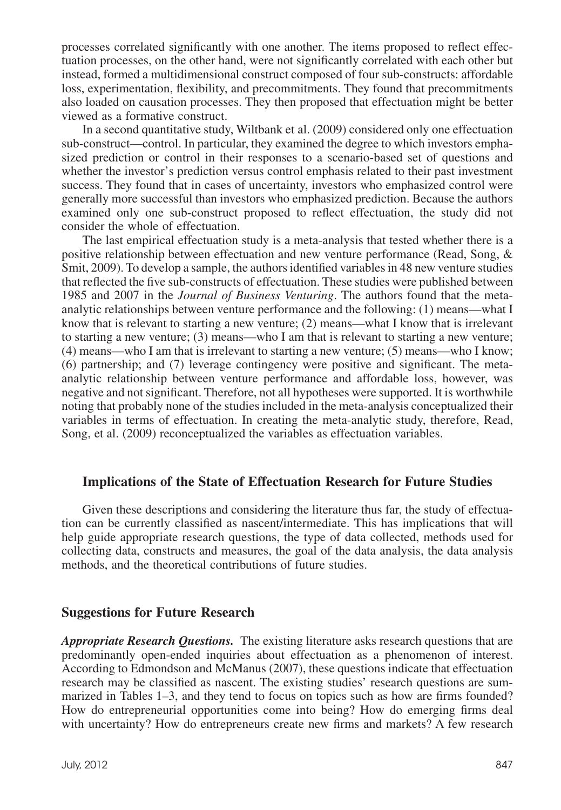processes correlated significantly with one another. The items proposed to reflect effectuation processes, on the other hand, were not significantly correlated with each other but instead, formed a multidimensional construct composed of four sub-constructs: affordable loss, experimentation, flexibility, and precommitments. They found that precommitments also loaded on causation processes. They then proposed that effectuation might be better viewed as a formative construct.

In a second quantitative study, Wiltbank et al. (2009) considered only one effectuation sub-construct—control. In particular, they examined the degree to which investors emphasized prediction or control in their responses to a scenario-based set of questions and whether the investor's prediction versus control emphasis related to their past investment success. They found that in cases of uncertainty, investors who emphasized control were generally more successful than investors who emphasized prediction. Because the authors examined only one sub-construct proposed to reflect effectuation, the study did not consider the whole of effectuation.

The last empirical effectuation study is a meta-analysis that tested whether there is a positive relationship between effectuation and new venture performance (Read, Song, & Smit, 2009). To develop a sample, the authors identified variables in 48 new venture studies that reflected the five sub-constructs of effectuation. These studies were published between 1985 and 2007 in the *Journal of Business Venturing*. The authors found that the metaanalytic relationships between venture performance and the following: (1) means—what I know that is relevant to starting a new venture; (2) means—what I know that is irrelevant to starting a new venture; (3) means—who I am that is relevant to starting a new venture; (4) means—who I am that is irrelevant to starting a new venture; (5) means—who I know; (6) partnership; and (7) leverage contingency were positive and significant. The metaanalytic relationship between venture performance and affordable loss, however, was negative and not significant. Therefore, not all hypotheses were supported. It is worthwhile noting that probably none of the studies included in the meta-analysis conceptualized their variables in terms of effectuation. In creating the meta-analytic study, therefore, Read, Song, et al. (2009) reconceptualized the variables as effectuation variables.

### **Implications of the State of Effectuation Research for Future Studies**

Given these descriptions and considering the literature thus far, the study of effectuation can be currently classified as nascent/intermediate. This has implications that will help guide appropriate research questions, the type of data collected, methods used for collecting data, constructs and measures, the goal of the data analysis, the data analysis methods, and the theoretical contributions of future studies.

### **Suggestions for Future Research**

*Appropriate Research Questions.* The existing literature asks research questions that are predominantly open-ended inquiries about effectuation as a phenomenon of interest. According to Edmondson and McManus (2007), these questions indicate that effectuation research may be classified as nascent. The existing studies' research questions are summarized in Tables 1–3, and they tend to focus on topics such as how are firms founded? How do entrepreneurial opportunities come into being? How do emerging firms deal with uncertainty? How do entrepreneurs create new firms and markets? A few research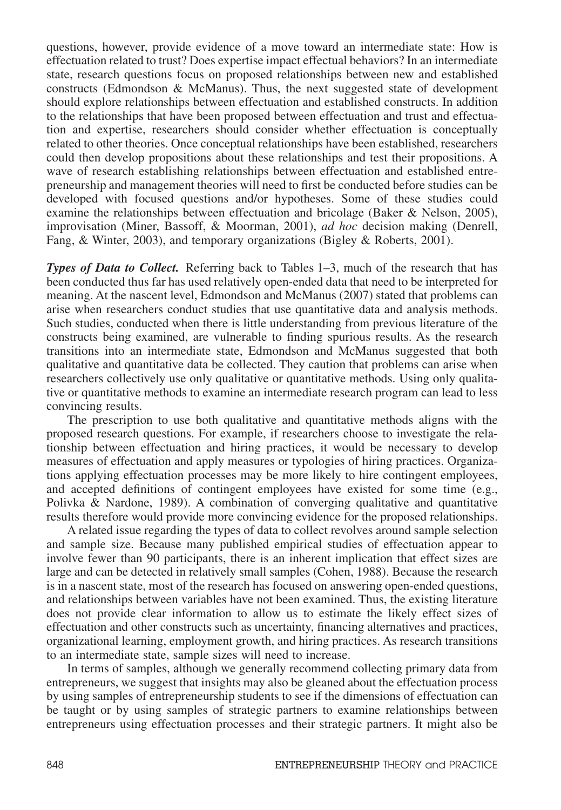questions, however, provide evidence of a move toward an intermediate state: How is effectuation related to trust? Does expertise impact effectual behaviors? In an intermediate state, research questions focus on proposed relationships between new and established constructs (Edmondson & McManus). Thus, the next suggested state of development should explore relationships between effectuation and established constructs. In addition to the relationships that have been proposed between effectuation and trust and effectuation and expertise, researchers should consider whether effectuation is conceptually related to other theories. Once conceptual relationships have been established, researchers could then develop propositions about these relationships and test their propositions. A wave of research establishing relationships between effectuation and established entrepreneurship and management theories will need to first be conducted before studies can be developed with focused questions and/or hypotheses. Some of these studies could examine the relationships between effectuation and bricolage (Baker & Nelson, 2005), improvisation (Miner, Bassoff, & Moorman, 2001), *ad hoc* decision making (Denrell, Fang, & Winter, 2003), and temporary organizations (Bigley & Roberts, 2001).

*Types of Data to Collect.* Referring back to Tables 1–3, much of the research that has been conducted thus far has used relatively open-ended data that need to be interpreted for meaning. At the nascent level, Edmondson and McManus (2007) stated that problems can arise when researchers conduct studies that use quantitative data and analysis methods. Such studies, conducted when there is little understanding from previous literature of the constructs being examined, are vulnerable to finding spurious results. As the research transitions into an intermediate state, Edmondson and McManus suggested that both qualitative and quantitative data be collected. They caution that problems can arise when researchers collectively use only qualitative or quantitative methods. Using only qualitative or quantitative methods to examine an intermediate research program can lead to less convincing results.

The prescription to use both qualitative and quantitative methods aligns with the proposed research questions. For example, if researchers choose to investigate the relationship between effectuation and hiring practices, it would be necessary to develop measures of effectuation and apply measures or typologies of hiring practices. Organizations applying effectuation processes may be more likely to hire contingent employees, and accepted definitions of contingent employees have existed for some time (e.g., Polivka & Nardone, 1989). A combination of converging qualitative and quantitative results therefore would provide more convincing evidence for the proposed relationships.

A related issue regarding the types of data to collect revolves around sample selection and sample size. Because many published empirical studies of effectuation appear to involve fewer than 90 participants, there is an inherent implication that effect sizes are large and can be detected in relatively small samples (Cohen, 1988). Because the research is in a nascent state, most of the research has focused on answering open-ended questions, and relationships between variables have not been examined. Thus, the existing literature does not provide clear information to allow us to estimate the likely effect sizes of effectuation and other constructs such as uncertainty, financing alternatives and practices, organizational learning, employment growth, and hiring practices. As research transitions to an intermediate state, sample sizes will need to increase.

In terms of samples, although we generally recommend collecting primary data from entrepreneurs, we suggest that insights may also be gleaned about the effectuation process by using samples of entrepreneurship students to see if the dimensions of effectuation can be taught or by using samples of strategic partners to examine relationships between entrepreneurs using effectuation processes and their strategic partners. It might also be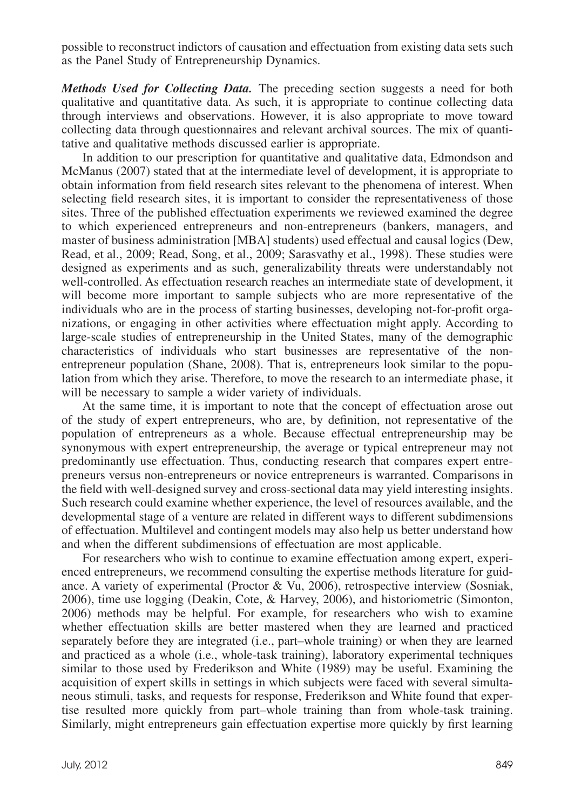possible to reconstruct indictors of causation and effectuation from existing data sets such as the Panel Study of Entrepreneurship Dynamics.

*Methods Used for Collecting Data.* The preceding section suggests a need for both qualitative and quantitative data. As such, it is appropriate to continue collecting data through interviews and observations. However, it is also appropriate to move toward collecting data through questionnaires and relevant archival sources. The mix of quantitative and qualitative methods discussed earlier is appropriate.

In addition to our prescription for quantitative and qualitative data, Edmondson and McManus (2007) stated that at the intermediate level of development, it is appropriate to obtain information from field research sites relevant to the phenomena of interest. When selecting field research sites, it is important to consider the representativeness of those sites. Three of the published effectuation experiments we reviewed examined the degree to which experienced entrepreneurs and non-entrepreneurs (bankers, managers, and master of business administration [MBA] students) used effectual and causal logics (Dew, Read, et al., 2009; Read, Song, et al., 2009; Sarasvathy et al., 1998). These studies were designed as experiments and as such, generalizability threats were understandably not well-controlled. As effectuation research reaches an intermediate state of development, it will become more important to sample subjects who are more representative of the individuals who are in the process of starting businesses, developing not-for-profit organizations, or engaging in other activities where effectuation might apply. According to large-scale studies of entrepreneurship in the United States, many of the demographic characteristics of individuals who start businesses are representative of the nonentrepreneur population (Shane, 2008). That is, entrepreneurs look similar to the population from which they arise. Therefore, to move the research to an intermediate phase, it will be necessary to sample a wider variety of individuals.

At the same time, it is important to note that the concept of effectuation arose out of the study of expert entrepreneurs, who are, by definition, not representative of the population of entrepreneurs as a whole. Because effectual entrepreneurship may be synonymous with expert entrepreneurship, the average or typical entrepreneur may not predominantly use effectuation. Thus, conducting research that compares expert entrepreneurs versus non-entrepreneurs or novice entrepreneurs is warranted. Comparisons in the field with well-designed survey and cross-sectional data may yield interesting insights. Such research could examine whether experience, the level of resources available, and the developmental stage of a venture are related in different ways to different subdimensions of effectuation. Multilevel and contingent models may also help us better understand how and when the different subdimensions of effectuation are most applicable.

For researchers who wish to continue to examine effectuation among expert, experienced entrepreneurs, we recommend consulting the expertise methods literature for guidance. A variety of experimental (Proctor & Vu, 2006), retrospective interview (Sosniak, 2006), time use logging (Deakin, Cote, & Harvey, 2006), and historiometric (Simonton, 2006) methods may be helpful. For example, for researchers who wish to examine whether effectuation skills are better mastered when they are learned and practiced separately before they are integrated (i.e., part–whole training) or when they are learned and practiced as a whole (i.e., whole-task training), laboratory experimental techniques similar to those used by Frederikson and White (1989) may be useful. Examining the acquisition of expert skills in settings in which subjects were faced with several simultaneous stimuli, tasks, and requests for response, Frederikson and White found that expertise resulted more quickly from part–whole training than from whole-task training. Similarly, might entrepreneurs gain effectuation expertise more quickly by first learning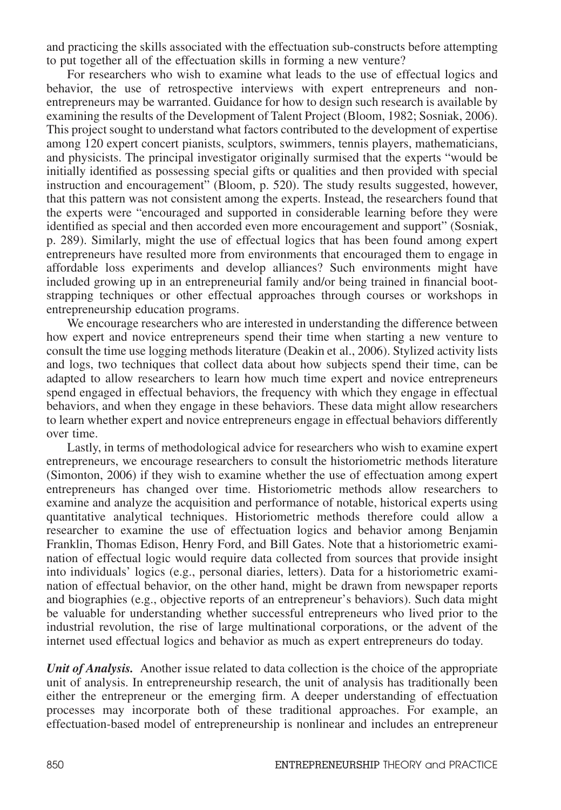and practicing the skills associated with the effectuation sub-constructs before attempting to put together all of the effectuation skills in forming a new venture?

For researchers who wish to examine what leads to the use of effectual logics and behavior, the use of retrospective interviews with expert entrepreneurs and nonentrepreneurs may be warranted. Guidance for how to design such research is available by examining the results of the Development of Talent Project (Bloom, 1982; Sosniak, 2006). This project sought to understand what factors contributed to the development of expertise among 120 expert concert pianists, sculptors, swimmers, tennis players, mathematicians, and physicists. The principal investigator originally surmised that the experts "would be initially identified as possessing special gifts or qualities and then provided with special instruction and encouragement" (Bloom, p. 520). The study results suggested, however, that this pattern was not consistent among the experts. Instead, the researchers found that the experts were "encouraged and supported in considerable learning before they were identified as special and then accorded even more encouragement and support" (Sosniak, p. 289). Similarly, might the use of effectual logics that has been found among expert entrepreneurs have resulted more from environments that encouraged them to engage in affordable loss experiments and develop alliances? Such environments might have included growing up in an entrepreneurial family and/or being trained in financial bootstrapping techniques or other effectual approaches through courses or workshops in entrepreneurship education programs.

We encourage researchers who are interested in understanding the difference between how expert and novice entrepreneurs spend their time when starting a new venture to consult the time use logging methods literature (Deakin et al., 2006). Stylized activity lists and logs, two techniques that collect data about how subjects spend their time, can be adapted to allow researchers to learn how much time expert and novice entrepreneurs spend engaged in effectual behaviors, the frequency with which they engage in effectual behaviors, and when they engage in these behaviors. These data might allow researchers to learn whether expert and novice entrepreneurs engage in effectual behaviors differently over time.

Lastly, in terms of methodological advice for researchers who wish to examine expert entrepreneurs, we encourage researchers to consult the historiometric methods literature (Simonton, 2006) if they wish to examine whether the use of effectuation among expert entrepreneurs has changed over time. Historiometric methods allow researchers to examine and analyze the acquisition and performance of notable, historical experts using quantitative analytical techniques. Historiometric methods therefore could allow a researcher to examine the use of effectuation logics and behavior among Benjamin Franklin, Thomas Edison, Henry Ford, and Bill Gates. Note that a historiometric examination of effectual logic would require data collected from sources that provide insight into individuals' logics (e.g., personal diaries, letters). Data for a historiometric examination of effectual behavior, on the other hand, might be drawn from newspaper reports and biographies (e.g., objective reports of an entrepreneur's behaviors). Such data might be valuable for understanding whether successful entrepreneurs who lived prior to the industrial revolution, the rise of large multinational corporations, or the advent of the internet used effectual logics and behavior as much as expert entrepreneurs do today.

*Unit of Analysis.* Another issue related to data collection is the choice of the appropriate unit of analysis. In entrepreneurship research, the unit of analysis has traditionally been either the entrepreneur or the emerging firm. A deeper understanding of effectuation processes may incorporate both of these traditional approaches. For example, an effectuation-based model of entrepreneurship is nonlinear and includes an entrepreneur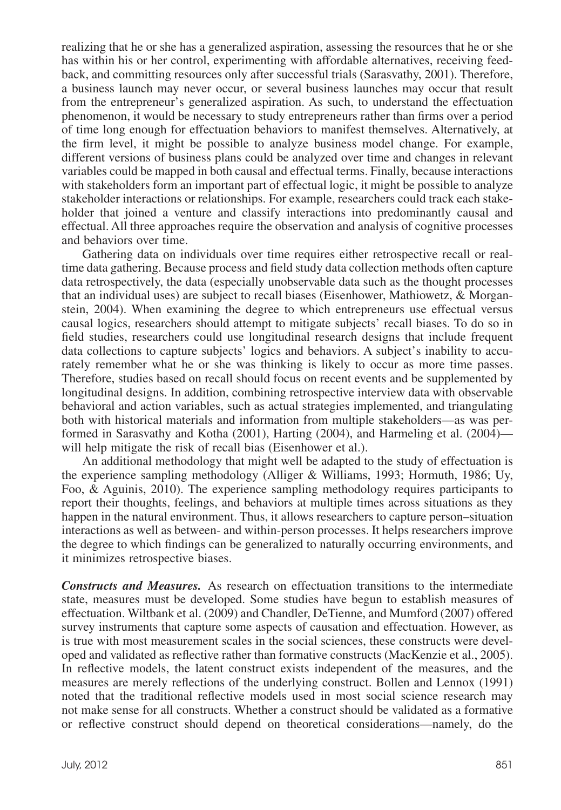realizing that he or she has a generalized aspiration, assessing the resources that he or she has within his or her control, experimenting with affordable alternatives, receiving feedback, and committing resources only after successful trials (Sarasvathy, 2001). Therefore, a business launch may never occur, or several business launches may occur that result from the entrepreneur's generalized aspiration. As such, to understand the effectuation phenomenon, it would be necessary to study entrepreneurs rather than firms over a period of time long enough for effectuation behaviors to manifest themselves. Alternatively, at the firm level, it might be possible to analyze business model change. For example, different versions of business plans could be analyzed over time and changes in relevant variables could be mapped in both causal and effectual terms. Finally, because interactions with stakeholders form an important part of effectual logic, it might be possible to analyze stakeholder interactions or relationships. For example, researchers could track each stakeholder that joined a venture and classify interactions into predominantly causal and effectual. All three approaches require the observation and analysis of cognitive processes and behaviors over time.

Gathering data on individuals over time requires either retrospective recall or realtime data gathering. Because process and field study data collection methods often capture data retrospectively, the data (especially unobservable data such as the thought processes that an individual uses) are subject to recall biases (Eisenhower, Mathiowetz, & Morganstein, 2004). When examining the degree to which entrepreneurs use effectual versus causal logics, researchers should attempt to mitigate subjects' recall biases. To do so in field studies, researchers could use longitudinal research designs that include frequent data collections to capture subjects' logics and behaviors. A subject's inability to accurately remember what he or she was thinking is likely to occur as more time passes. Therefore, studies based on recall should focus on recent events and be supplemented by longitudinal designs. In addition, combining retrospective interview data with observable behavioral and action variables, such as actual strategies implemented, and triangulating both with historical materials and information from multiple stakeholders—as was performed in Sarasvathy and Kotha (2001), Harting (2004), and Harmeling et al. (2004) will help mitigate the risk of recall bias (Eisenhower et al.).

An additional methodology that might well be adapted to the study of effectuation is the experience sampling methodology (Alliger & Williams, 1993; Hormuth, 1986; Uy, Foo, & Aguinis, 2010). The experience sampling methodology requires participants to report their thoughts, feelings, and behaviors at multiple times across situations as they happen in the natural environment. Thus, it allows researchers to capture person–situation interactions as well as between- and within-person processes. It helps researchers improve the degree to which findings can be generalized to naturally occurring environments, and it minimizes retrospective biases.

*Constructs and Measures.* As research on effectuation transitions to the intermediate state, measures must be developed. Some studies have begun to establish measures of effectuation. Wiltbank et al. (2009) and Chandler, DeTienne, and Mumford (2007) offered survey instruments that capture some aspects of causation and effectuation. However, as is true with most measurement scales in the social sciences, these constructs were developed and validated as reflective rather than formative constructs (MacKenzie et al., 2005). In reflective models, the latent construct exists independent of the measures, and the measures are merely reflections of the underlying construct. Bollen and Lennox (1991) noted that the traditional reflective models used in most social science research may not make sense for all constructs. Whether a construct should be validated as a formative or reflective construct should depend on theoretical considerations—namely, do the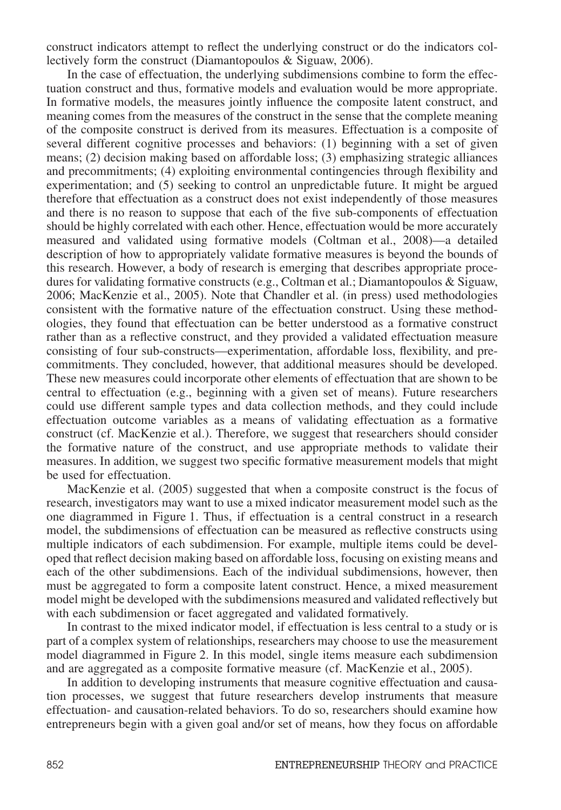construct indicators attempt to reflect the underlying construct or do the indicators collectively form the construct (Diamantopoulos & Siguaw, 2006).

In the case of effectuation, the underlying subdimensions combine to form the effectuation construct and thus, formative models and evaluation would be more appropriate. In formative models, the measures jointly influence the composite latent construct, and meaning comes from the measures of the construct in the sense that the complete meaning of the composite construct is derived from its measures. Effectuation is a composite of several different cognitive processes and behaviors: (1) beginning with a set of given means; (2) decision making based on affordable loss; (3) emphasizing strategic alliances and precommitments; (4) exploiting environmental contingencies through flexibility and experimentation; and (5) seeking to control an unpredictable future. It might be argued therefore that effectuation as a construct does not exist independently of those measures and there is no reason to suppose that each of the five sub-components of effectuation should be highly correlated with each other. Hence, effectuation would be more accurately measured and validated using formative models (Coltman et al., 2008)—a detailed description of how to appropriately validate formative measures is beyond the bounds of this research. However, a body of research is emerging that describes appropriate procedures for validating formative constructs (e.g., Coltman et al.; Diamantopoulos & Siguaw, 2006; MacKenzie et al., 2005). Note that Chandler et al. (in press) used methodologies consistent with the formative nature of the effectuation construct. Using these methodologies, they found that effectuation can be better understood as a formative construct rather than as a reflective construct, and they provided a validated effectuation measure consisting of four sub-constructs—experimentation, affordable loss, flexibility, and precommitments. They concluded, however, that additional measures should be developed. These new measures could incorporate other elements of effectuation that are shown to be central to effectuation (e.g., beginning with a given set of means). Future researchers could use different sample types and data collection methods, and they could include effectuation outcome variables as a means of validating effectuation as a formative construct (cf. MacKenzie et al.). Therefore, we suggest that researchers should consider the formative nature of the construct, and use appropriate methods to validate their measures. In addition, we suggest two specific formative measurement models that might be used for effectuation.

MacKenzie et al. (2005) suggested that when a composite construct is the focus of research, investigators may want to use a mixed indicator measurement model such as the one diagrammed in Figure 1. Thus, if effectuation is a central construct in a research model, the subdimensions of effectuation can be measured as reflective constructs using multiple indicators of each subdimension. For example, multiple items could be developed that reflect decision making based on affordable loss, focusing on existing means and each of the other subdimensions. Each of the individual subdimensions, however, then must be aggregated to form a composite latent construct. Hence, a mixed measurement model might be developed with the subdimensions measured and validated reflectively but with each subdimension or facet aggregated and validated formatively.

In contrast to the mixed indicator model, if effectuation is less central to a study or is part of a complex system of relationships, researchers may choose to use the measurement model diagrammed in Figure 2. In this model, single items measure each subdimension and are aggregated as a composite formative measure (cf. MacKenzie et al., 2005).

In addition to developing instruments that measure cognitive effectuation and causation processes, we suggest that future researchers develop instruments that measure effectuation- and causation-related behaviors. To do so, researchers should examine how entrepreneurs begin with a given goal and/or set of means, how they focus on affordable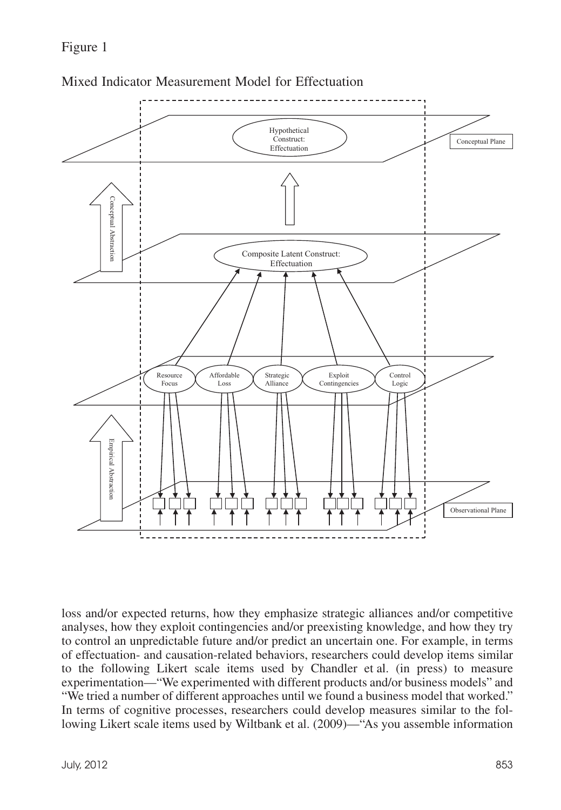# Figure 1





loss and/or expected returns, how they emphasize strategic alliances and/or competitive analyses, how they exploit contingencies and/or preexisting knowledge, and how they try to control an unpredictable future and/or predict an uncertain one. For example, in terms of effectuation- and causation-related behaviors, researchers could develop items similar to the following Likert scale items used by Chandler et al. (in press) to measure experimentation—"We experimented with different products and/or business models" and "We tried a number of different approaches until we found a business model that worked." In terms of cognitive processes, researchers could develop measures similar to the following Likert scale items used by Wiltbank et al. (2009)—"As you assemble information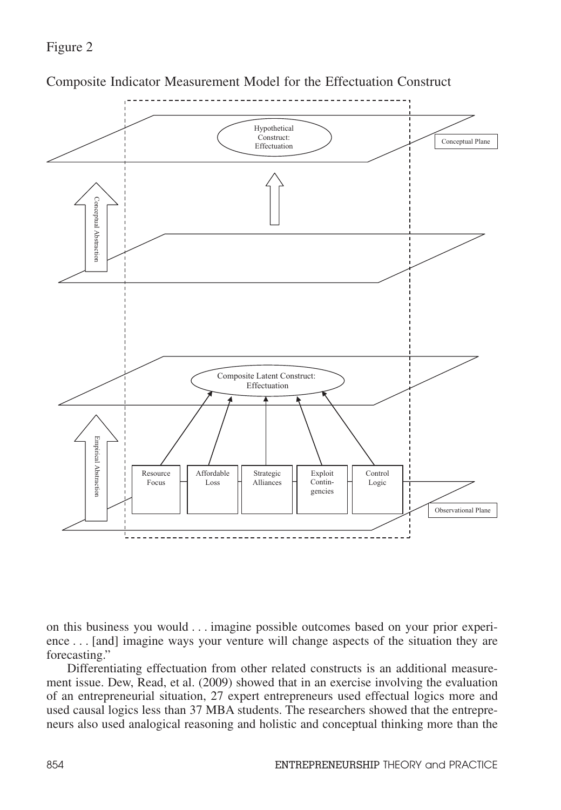# Figure 2



Composite Indicator Measurement Model for the Effectuation Construct

on this business you would... imagine possible outcomes based on your prior experience . . . [and] imagine ways your venture will change aspects of the situation they are forecasting."

Differentiating effectuation from other related constructs is an additional measurement issue. Dew, Read, et al. (2009) showed that in an exercise involving the evaluation of an entrepreneurial situation, 27 expert entrepreneurs used effectual logics more and used causal logics less than 37 MBA students. The researchers showed that the entrepreneurs also used analogical reasoning and holistic and conceptual thinking more than the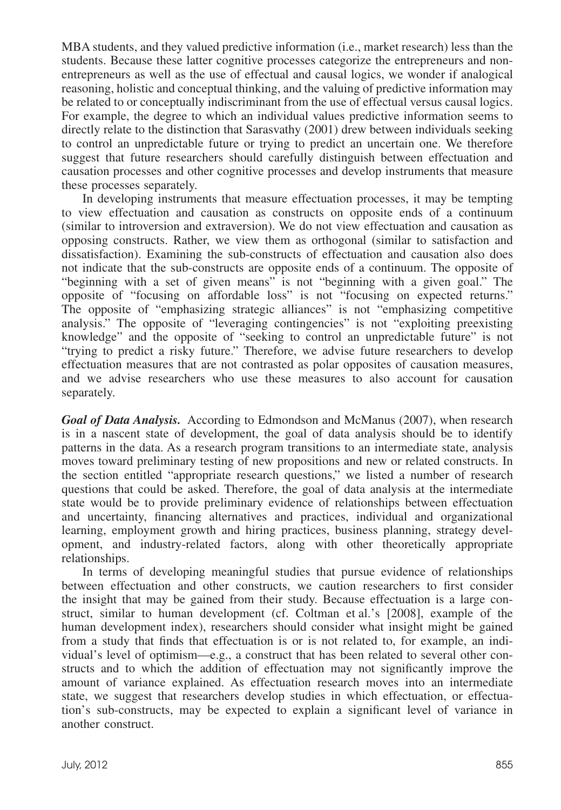MBA students, and they valued predictive information (i.e., market research) less than the students. Because these latter cognitive processes categorize the entrepreneurs and nonentrepreneurs as well as the use of effectual and causal logics, we wonder if analogical reasoning, holistic and conceptual thinking, and the valuing of predictive information may be related to or conceptually indiscriminant from the use of effectual versus causal logics. For example, the degree to which an individual values predictive information seems to directly relate to the distinction that Sarasvathy (2001) drew between individuals seeking to control an unpredictable future or trying to predict an uncertain one. We therefore suggest that future researchers should carefully distinguish between effectuation and causation processes and other cognitive processes and develop instruments that measure these processes separately.

In developing instruments that measure effectuation processes, it may be tempting to view effectuation and causation as constructs on opposite ends of a continuum (similar to introversion and extraversion). We do not view effectuation and causation as opposing constructs. Rather, we view them as orthogonal (similar to satisfaction and dissatisfaction). Examining the sub-constructs of effectuation and causation also does not indicate that the sub-constructs are opposite ends of a continuum. The opposite of "beginning with a set of given means" is not "beginning with a given goal." The opposite of "focusing on affordable loss" is not "focusing on expected returns." The opposite of "emphasizing strategic alliances" is not "emphasizing competitive analysis." The opposite of "leveraging contingencies" is not "exploiting preexisting knowledge" and the opposite of "seeking to control an unpredictable future" is not "trying to predict a risky future." Therefore, we advise future researchers to develop effectuation measures that are not contrasted as polar opposites of causation measures, and we advise researchers who use these measures to also account for causation separately.

*Goal of Data Analysis.* According to Edmondson and McManus (2007), when research is in a nascent state of development, the goal of data analysis should be to identify patterns in the data. As a research program transitions to an intermediate state, analysis moves toward preliminary testing of new propositions and new or related constructs. In the section entitled "appropriate research questions," we listed a number of research questions that could be asked. Therefore, the goal of data analysis at the intermediate state would be to provide preliminary evidence of relationships between effectuation and uncertainty, financing alternatives and practices, individual and organizational learning, employment growth and hiring practices, business planning, strategy development, and industry-related factors, along with other theoretically appropriate relationships.

In terms of developing meaningful studies that pursue evidence of relationships between effectuation and other constructs, we caution researchers to first consider the insight that may be gained from their study. Because effectuation is a large construct, similar to human development (cf. Coltman et al.'s [2008], example of the human development index), researchers should consider what insight might be gained from a study that finds that effectuation is or is not related to, for example, an individual's level of optimism—e.g., a construct that has been related to several other constructs and to which the addition of effectuation may not significantly improve the amount of variance explained. As effectuation research moves into an intermediate state, we suggest that researchers develop studies in which effectuation, or effectuation's sub-constructs, may be expected to explain a significant level of variance in another construct.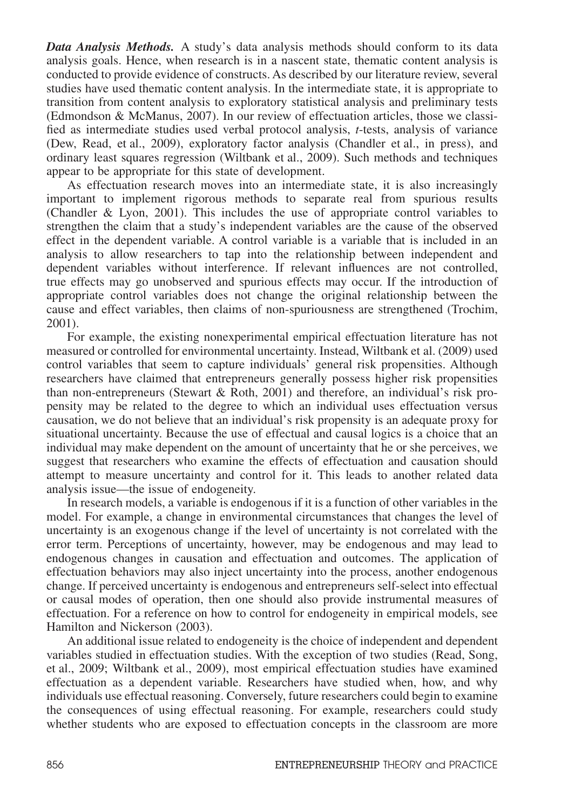*Data Analysis Methods.* A study's data analysis methods should conform to its data analysis goals. Hence, when research is in a nascent state, thematic content analysis is conducted to provide evidence of constructs. As described by our literature review, several studies have used thematic content analysis. In the intermediate state, it is appropriate to transition from content analysis to exploratory statistical analysis and preliminary tests (Edmondson & McManus, 2007). In our review of effectuation articles, those we classified as intermediate studies used verbal protocol analysis, *t*-tests, analysis of variance (Dew, Read, et al., 2009), exploratory factor analysis (Chandler et al., in press), and ordinary least squares regression (Wiltbank et al., 2009). Such methods and techniques appear to be appropriate for this state of development.

As effectuation research moves into an intermediate state, it is also increasingly important to implement rigorous methods to separate real from spurious results (Chandler & Lyon, 2001). This includes the use of appropriate control variables to strengthen the claim that a study's independent variables are the cause of the observed effect in the dependent variable. A control variable is a variable that is included in an analysis to allow researchers to tap into the relationship between independent and dependent variables without interference. If relevant influences are not controlled, true effects may go unobserved and spurious effects may occur. If the introduction of appropriate control variables does not change the original relationship between the cause and effect variables, then claims of non-spuriousness are strengthened (Trochim, 2001).

For example, the existing nonexperimental empirical effectuation literature has not measured or controlled for environmental uncertainty. Instead, Wiltbank et al. (2009) used control variables that seem to capture individuals' general risk propensities. Although researchers have claimed that entrepreneurs generally possess higher risk propensities than non-entrepreneurs (Stewart & Roth, 2001) and therefore, an individual's risk propensity may be related to the degree to which an individual uses effectuation versus causation, we do not believe that an individual's risk propensity is an adequate proxy for situational uncertainty. Because the use of effectual and causal logics is a choice that an individual may make dependent on the amount of uncertainty that he or she perceives, we suggest that researchers who examine the effects of effectuation and causation should attempt to measure uncertainty and control for it. This leads to another related data analysis issue—the issue of endogeneity.

In research models, a variable is endogenous if it is a function of other variables in the model. For example, a change in environmental circumstances that changes the level of uncertainty is an exogenous change if the level of uncertainty is not correlated with the error term. Perceptions of uncertainty, however, may be endogenous and may lead to endogenous changes in causation and effectuation and outcomes. The application of effectuation behaviors may also inject uncertainty into the process, another endogenous change. If perceived uncertainty is endogenous and entrepreneurs self-select into effectual or causal modes of operation, then one should also provide instrumental measures of effectuation. For a reference on how to control for endogeneity in empirical models, see Hamilton and Nickerson (2003).

An additional issue related to endogeneity is the choice of independent and dependent variables studied in effectuation studies. With the exception of two studies (Read, Song, et al., 2009; Wiltbank et al., 2009), most empirical effectuation studies have examined effectuation as a dependent variable. Researchers have studied when, how, and why individuals use effectual reasoning. Conversely, future researchers could begin to examine the consequences of using effectual reasoning. For example, researchers could study whether students who are exposed to effectuation concepts in the classroom are more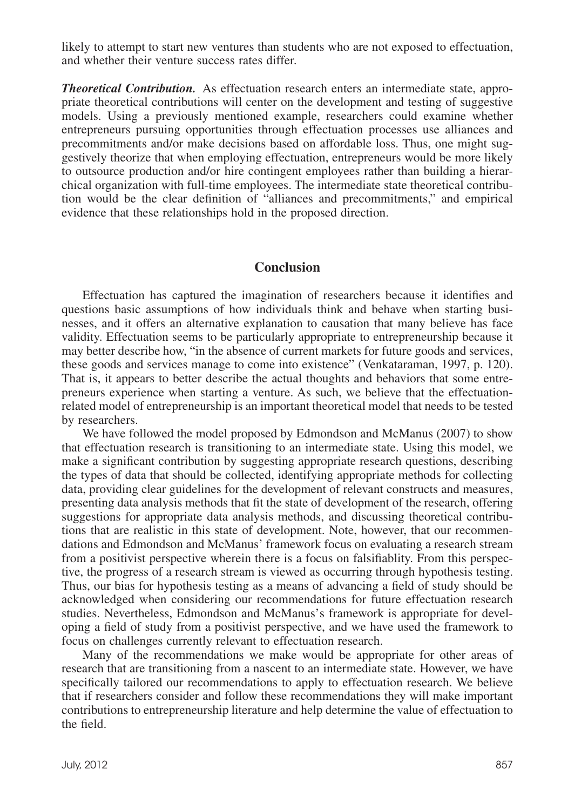likely to attempt to start new ventures than students who are not exposed to effectuation, and whether their venture success rates differ.

*Theoretical Contribution.* As effectuation research enters an intermediate state, appropriate theoretical contributions will center on the development and testing of suggestive models. Using a previously mentioned example, researchers could examine whether entrepreneurs pursuing opportunities through effectuation processes use alliances and precommitments and/or make decisions based on affordable loss. Thus, one might suggestively theorize that when employing effectuation, entrepreneurs would be more likely to outsource production and/or hire contingent employees rather than building a hierarchical organization with full-time employees. The intermediate state theoretical contribution would be the clear definition of "alliances and precommitments," and empirical evidence that these relationships hold in the proposed direction.

### **Conclusion**

Effectuation has captured the imagination of researchers because it identifies and questions basic assumptions of how individuals think and behave when starting businesses, and it offers an alternative explanation to causation that many believe has face validity. Effectuation seems to be particularly appropriate to entrepreneurship because it may better describe how, "in the absence of current markets for future goods and services, these goods and services manage to come into existence" (Venkataraman, 1997, p. 120). That is, it appears to better describe the actual thoughts and behaviors that some entrepreneurs experience when starting a venture. As such, we believe that the effectuationrelated model of entrepreneurship is an important theoretical model that needs to be tested by researchers.

We have followed the model proposed by Edmondson and McManus (2007) to show that effectuation research is transitioning to an intermediate state. Using this model, we make a significant contribution by suggesting appropriate research questions, describing the types of data that should be collected, identifying appropriate methods for collecting data, providing clear guidelines for the development of relevant constructs and measures, presenting data analysis methods that fit the state of development of the research, offering suggestions for appropriate data analysis methods, and discussing theoretical contributions that are realistic in this state of development. Note, however, that our recommendations and Edmondson and McManus' framework focus on evaluating a research stream from a positivist perspective wherein there is a focus on falsifiablity. From this perspective, the progress of a research stream is viewed as occurring through hypothesis testing. Thus, our bias for hypothesis testing as a means of advancing a field of study should be acknowledged when considering our recommendations for future effectuation research studies. Nevertheless, Edmondson and McManus's framework is appropriate for developing a field of study from a positivist perspective, and we have used the framework to focus on challenges currently relevant to effectuation research.

Many of the recommendations we make would be appropriate for other areas of research that are transitioning from a nascent to an intermediate state. However, we have specifically tailored our recommendations to apply to effectuation research. We believe that if researchers consider and follow these recommendations they will make important contributions to entrepreneurship literature and help determine the value of effectuation to the field.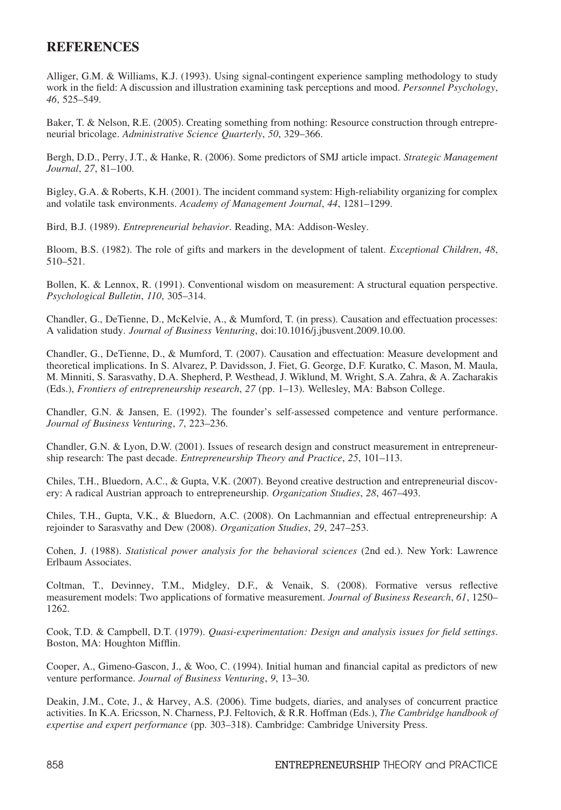# **REFERENCES**

Alliger, G.M. & Williams, K.J. (1993). Using signal-contingent experience sampling methodology to study work in the field: A discussion and illustration examining task perceptions and mood. *Personnel Psychology*, *46*, 525–549.

Baker, T. & Nelson, R.E. (2005). Creating something from nothing: Resource construction through entrepreneurial bricolage. *Administrative Science Quarterly*, *50*, 329–366.

Bergh, D.D., Perry, J.T., & Hanke, R. (2006). Some predictors of SMJ article impact. *Strategic Management Journal*, *27*, 81–100.

Bigley, G.A. & Roberts, K.H. (2001). The incident command system: High-reliability organizing for complex and volatile task environments. *Academy of Management Journal*, *44*, 1281–1299.

Bird, B.J. (1989). *Entrepreneurial behavior*. Reading, MA: Addison-Wesley.

Bloom, B.S. (1982). The role of gifts and markers in the development of talent. *Exceptional Children*, *48*, 510–521.

Bollen, K. & Lennox, R. (1991). Conventional wisdom on measurement: A structural equation perspective. *Psychological Bulletin*, *110*, 305–314.

Chandler, G., DeTienne, D., McKelvie, A., & Mumford, T. (in press). Causation and effectuation processes: A validation study. *Journal of Business Venturing*, doi:10.1016/j.jbusvent.2009.10.00.

Chandler, G., DeTienne, D., & Mumford, T. (2007). Causation and effectuation: Measure development and theoretical implications. In S. Alvarez, P. Davidsson, J. Fiet, G. George, D.F. Kuratko, C. Mason, M. Maula, M. Minniti, S. Sarasvathy, D.A. Shepherd, P. Westhead, J. Wiklund, M. Wright, S.A. Zahra, & A. Zacharakis (Eds.), *Frontiers of entrepreneurship research*, *27* (pp. 1–13). Wellesley, MA: Babson College.

Chandler, G.N. & Jansen, E. (1992). The founder's self-assessed competence and venture performance. *Journal of Business Venturing*, *7*, 223–236.

Chandler, G.N. & Lyon, D.W. (2001). Issues of research design and construct measurement in entrepreneurship research: The past decade. *Entrepreneurship Theory and Practice*, *25*, 101–113.

Chiles, T.H., Bluedorn, A.C., & Gupta, V.K. (2007). Beyond creative destruction and entrepreneurial discovery: A radical Austrian approach to entrepreneurship. *Organization Studies*, *28*, 467–493.

Chiles, T.H., Gupta, V.K., & Bluedorn, A.C. (2008). On Lachmannian and effectual entrepreneurship: A rejoinder to Sarasvathy and Dew (2008). *Organization Studies*, *29*, 247–253.

Cohen, J. (1988). *Statistical power analysis for the behavioral sciences* (2nd ed.). New York: Lawrence Erlbaum Associates.

Coltman, T., Devinney, T.M., Midgley, D.F., & Venaik, S. (2008). Formative versus reflective measurement models: Two applications of formative measurement. *Journal of Business Research*, *61*, 1250– 1262.

Cook, T.D. & Campbell, D.T. (1979). *Quasi-experimentation: Design and analysis issues for field settings*. Boston, MA: Houghton Mifflin.

Cooper, A., Gimeno-Gascon, J., & Woo, C. (1994). Initial human and financial capital as predictors of new venture performance. *Journal of Business Venturing*, *9*, 13–30.

Deakin, J.M., Cote, J., & Harvey, A.S. (2006). Time budgets, diaries, and analyses of concurrent practice activities. In K.A. Ericsson, N. Charness, P.J. Feltovich, & R.R. Hoffman (Eds.), *The Cambridge handbook of expertise and expert performance* (pp. 303–318). Cambridge: Cambridge University Press.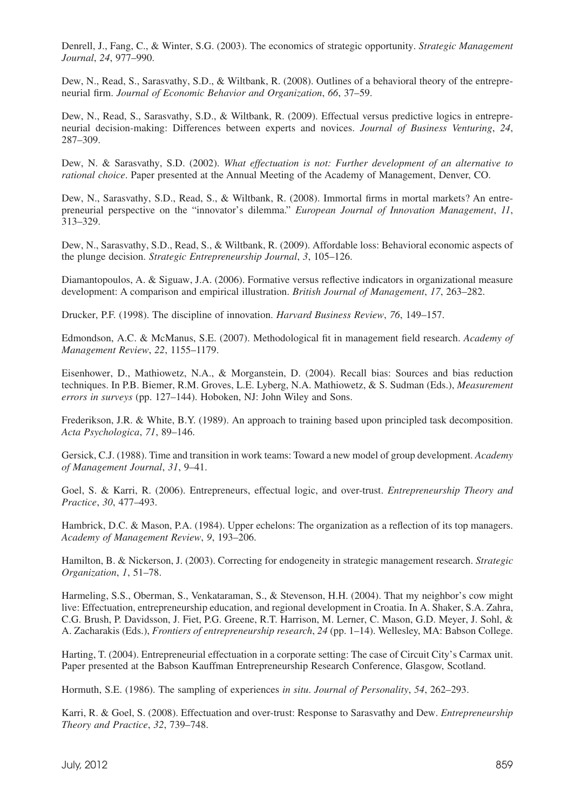Denrell, J., Fang, C., & Winter, S.G. (2003). The economics of strategic opportunity. *Strategic Management Journal*, *24*, 977–990.

Dew, N., Read, S., Sarasvathy, S.D., & Wiltbank, R. (2008). Outlines of a behavioral theory of the entrepreneurial firm. *Journal of Economic Behavior and Organization*, *66*, 37–59.

Dew, N., Read, S., Sarasvathy, S.D., & Wiltbank, R. (2009). Effectual versus predictive logics in entrepreneurial decision-making: Differences between experts and novices. *Journal of Business Venturing*, *24*, 287–309.

Dew, N. & Sarasvathy, S.D. (2002). *What effectuation is not: Further development of an alternative to rational choice*. Paper presented at the Annual Meeting of the Academy of Management, Denver, CO.

Dew, N., Sarasvathy, S.D., Read, S., & Wiltbank, R. (2008). Immortal firms in mortal markets? An entrepreneurial perspective on the "innovator's dilemma." *European Journal of Innovation Management*, *11*, 313–329.

Dew, N., Sarasvathy, S.D., Read, S., & Wiltbank, R. (2009). Affordable loss: Behavioral economic aspects of the plunge decision. *Strategic Entrepreneurship Journal*, *3*, 105–126.

Diamantopoulos, A. & Siguaw, J.A. (2006). Formative versus reflective indicators in organizational measure development: A comparison and empirical illustration. *British Journal of Management*, *17*, 263–282.

Drucker, P.F. (1998). The discipline of innovation. *Harvard Business Review*, *76*, 149–157.

Edmondson, A.C. & McManus, S.E. (2007). Methodological fit in management field research. *Academy of Management Review*, *22*, 1155–1179.

Eisenhower, D., Mathiowetz, N.A., & Morganstein, D. (2004). Recall bias: Sources and bias reduction techniques. In P.B. Biemer, R.M. Groves, L.E. Lyberg, N.A. Mathiowetz, & S. Sudman (Eds.), *Measurement errors in surveys* (pp. 127–144). Hoboken, NJ: John Wiley and Sons.

Frederikson, J.R. & White, B.Y. (1989). An approach to training based upon principled task decomposition. *Acta Psychologica*, *71*, 89–146.

Gersick, C.J. (1988). Time and transition in work teams: Toward a new model of group development. *Academy of Management Journal*, *31*, 9–41.

Goel, S. & Karri, R. (2006). Entrepreneurs, effectual logic, and over-trust. *Entrepreneurship Theory and Practice*, *30*, 477–493.

Hambrick, D.C. & Mason, P.A. (1984). Upper echelons: The organization as a reflection of its top managers. *Academy of Management Review*, *9*, 193–206.

Hamilton, B. & Nickerson, J. (2003). Correcting for endogeneity in strategic management research. *Strategic Organization*, *1*, 51–78.

Harmeling, S.S., Oberman, S., Venkataraman, S., & Stevenson, H.H. (2004). That my neighbor's cow might live: Effectuation, entrepreneurship education, and regional development in Croatia. In A. Shaker, S.A. Zahra, C.G. Brush, P. Davidsson, J. Fiet, P.G. Greene, R.T. Harrison, M. Lerner, C. Mason, G.D. Meyer, J. Sohl, & A. Zacharakis (Eds.), *Frontiers of entrepreneurship research*, *24* (pp. 1–14). Wellesley, MA: Babson College.

Harting, T. (2004). Entrepreneurial effectuation in a corporate setting: The case of Circuit City's Carmax unit. Paper presented at the Babson Kauffman Entrepreneurship Research Conference, Glasgow, Scotland.

Hormuth, S.E. (1986). The sampling of experiences *in situ*. *Journal of Personality*, *54*, 262–293.

Karri, R. & Goel, S. (2008). Effectuation and over-trust: Response to Sarasvathy and Dew. *Entrepreneurship Theory and Practice*, *32*, 739–748.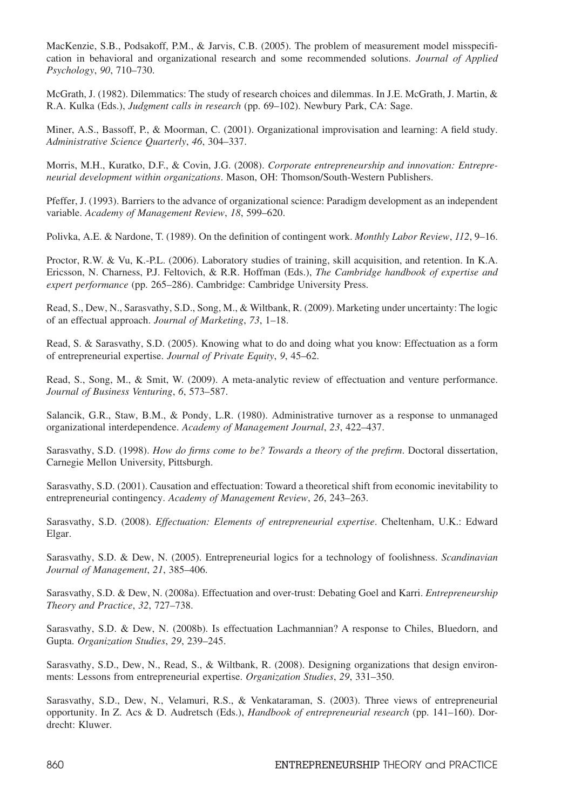MacKenzie, S.B., Podsakoff, P.M., & Jarvis, C.B. (2005). The problem of measurement model misspecification in behavioral and organizational research and some recommended solutions. *Journal of Applied Psychology*, *90*, 710–730.

McGrath, J. (1982). Dilemmatics: The study of research choices and dilemmas. In J.E. McGrath, J. Martin, & R.A. Kulka (Eds.), *Judgment calls in research* (pp. 69–102). Newbury Park, CA: Sage.

Miner, A.S., Bassoff, P., & Moorman, C. (2001). Organizational improvisation and learning: A field study. *Administrative Science Quarterly*, *46*, 304–337.

Morris, M.H., Kuratko, D.F., & Covin, J.G. (2008). *Corporate entrepreneurship and innovation: Entrepreneurial development within organizations*. Mason, OH: Thomson/South-Western Publishers.

Pfeffer, J. (1993). Barriers to the advance of organizational science: Paradigm development as an independent variable. *Academy of Management Review*, *18*, 599–620.

Polivka, A.E. & Nardone, T. (1989). On the definition of contingent work. *Monthly Labor Review*, *112*, 9–16.

Proctor, R.W. & Vu, K.-P.L. (2006). Laboratory studies of training, skill acquisition, and retention. In K.A. Ericsson, N. Charness, P.J. Feltovich, & R.R. Hoffman (Eds.), *The Cambridge handbook of expertise and expert performance* (pp. 265–286). Cambridge: Cambridge University Press.

Read, S., Dew, N., Sarasvathy, S.D., Song, M., & Wiltbank, R. (2009). Marketing under uncertainty: The logic of an effectual approach. *Journal of Marketing*, *73*, 1–18.

Read, S. & Sarasvathy, S.D. (2005). Knowing what to do and doing what you know: Effectuation as a form of entrepreneurial expertise. *Journal of Private Equity*, *9*, 45–62.

Read, S., Song, M., & Smit, W. (2009). A meta-analytic review of effectuation and venture performance. *Journal of Business Venturing*, *6*, 573–587.

Salancik, G.R., Staw, B.M., & Pondy, L.R. (1980). Administrative turnover as a response to unmanaged organizational interdependence. *Academy of Management Journal*, *23*, 422–437.

Sarasvathy, S.D. (1998). *How do firms come to be? Towards a theory of the prefirm*. Doctoral dissertation, Carnegie Mellon University, Pittsburgh.

Sarasvathy, S.D. (2001). Causation and effectuation: Toward a theoretical shift from economic inevitability to entrepreneurial contingency. *Academy of Management Review*, *26*, 243–263.

Sarasvathy, S.D. (2008). *Effectuation: Elements of entrepreneurial expertise*. Cheltenham, U.K.: Edward Elgar.

Sarasvathy, S.D. & Dew, N. (2005). Entrepreneurial logics for a technology of foolishness. *Scandinavian Journal of Management*, *21*, 385–406.

Sarasvathy, S.D. & Dew, N. (2008a). Effectuation and over-trust: Debating Goel and Karri. *Entrepreneurship Theory and Practice*, *32*, 727–738.

Sarasvathy, S.D. & Dew, N. (2008b). Is effectuation Lachmannian? A response to Chiles, Bluedorn, and Gupta. *Organization Studies*, *29*, 239–245.

Sarasvathy, S.D., Dew, N., Read, S., & Wiltbank, R. (2008). Designing organizations that design environments: Lessons from entrepreneurial expertise. *Organization Studies*, *29*, 331–350.

Sarasvathy, S.D., Dew, N., Velamuri, R.S., & Venkataraman, S. (2003). Three views of entrepreneurial opportunity. In Z. Acs & D. Audretsch (Eds.), *Handbook of entrepreneurial research* (pp. 141–160). Dordrecht: Kluwer.